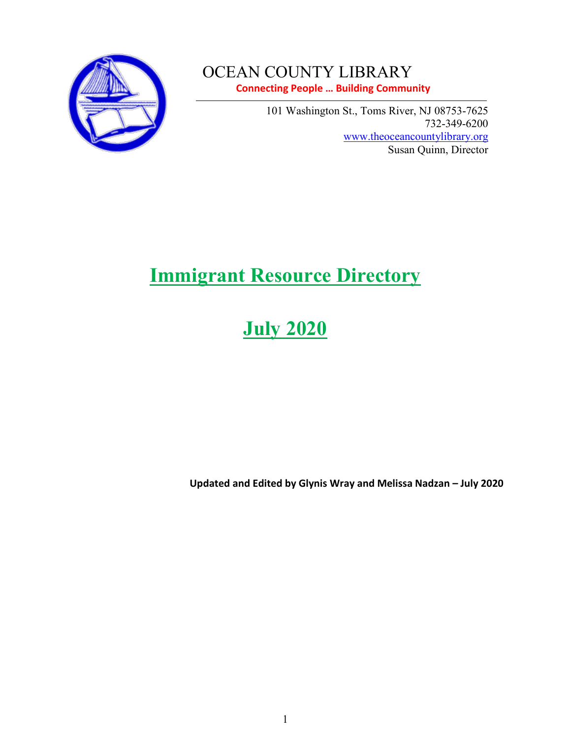

# OCEAN COUNTY LIBRARY

**Connecting People … Building Community** 

101 Washington St., Toms River, NJ 08753-7625 732-349-6200 [www.theoceancountylibrary.org](http://www.theoceancountylibrary.org/) Susan Quinn, Director

# **Immigrant Resource Directory**

# **July 2020**

**Updated and Edited by Glynis Wray and Melissa Nadzan – July 2020**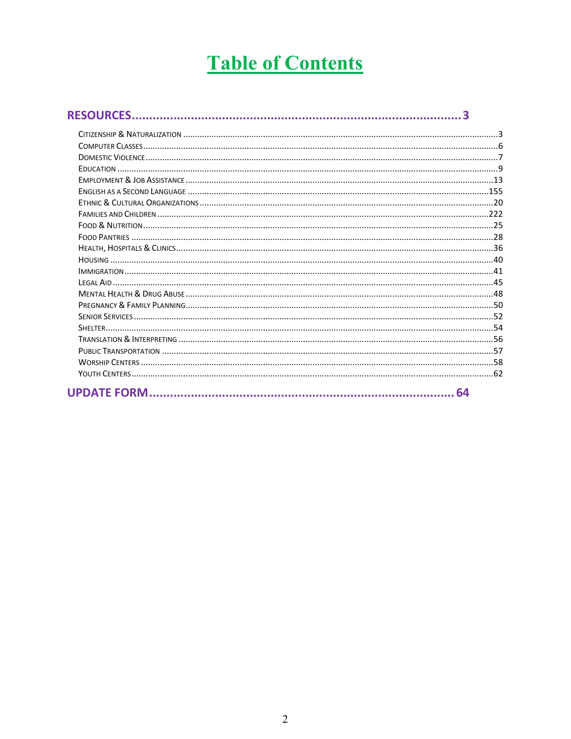# **Table of Contents**

<span id="page-1-0"></span>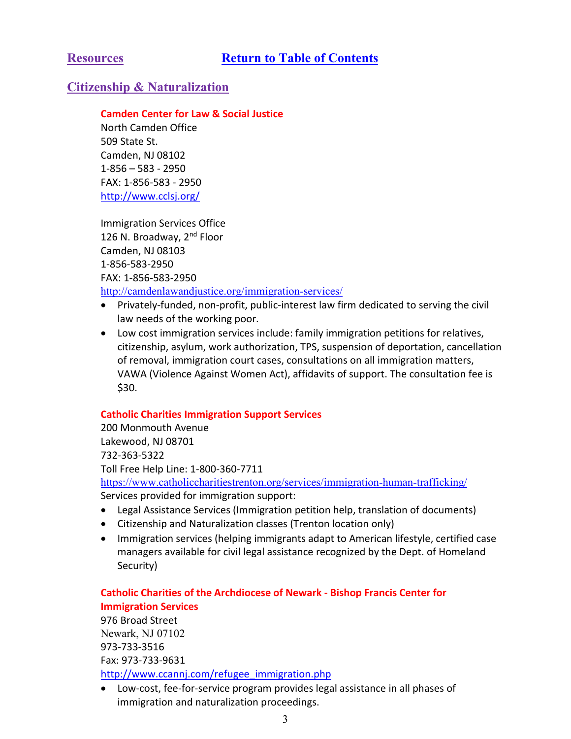# <span id="page-2-1"></span><span id="page-2-0"></span>**Citizenship & Naturalization**

# **Camden Center for Law & Social Justice**

North Camden Office 509 State St. Camden, NJ 08102 1-856 – 583 - 2950 FAX: 1-856-583 - 2950 http://www.cclsj.org/

Immigration Services Office 126 N. Broadway, 2<sup>nd</sup> Floor Camden, NJ 08103 1-856-583-2950 FAX: 1-856-583-2950 <http://camdenlawandjustice.org/immigration-services/>

- Privately-funded, non-profit, public-interest law firm dedicated to serving the civil law needs of the working poor.
- Low cost immigration services include: family immigration petitions for relatives, citizenship, asylum, work authorization, TPS, suspension of deportation, cancellation of removal, immigration court cases, consultations on all immigration matters, VAWA (Violence Against Women Act), affidavits of support. The consultation fee is \$30.

# **Catholic Charities Immigration Support Services**

200 Monmouth Avenue Lakewood, NJ 08701 732-363-5322 Toll Free Help Line: 1-800-360-7711 <https://www.catholiccharitiestrenton.org/services/immigration-human-trafficking/> Services provided for immigration support:

- Legal Assistance Services (Immigration petition help, translation of documents)
- Citizenship and Naturalization classes (Trenton location only)
- Immigration services (helping immigrants adapt to American lifestyle, certified case managers available for civil legal assistance recognized by the Dept. of Homeland Security)

# **Catholic Charities of the Archdiocese of Newark - Bishop Francis Center for Immigration Services**

976 Broad Street Newark, NJ 07102 973-733-3516 Fax: 973-733-9631 [http://www.ccannj.com/refugee\\_immigration.php](http://www.ccannj.com/refugee_immigration.php)

• Low-cost, fee-for-service program provides legal assistance in all phases of immigration and naturalization proceedings.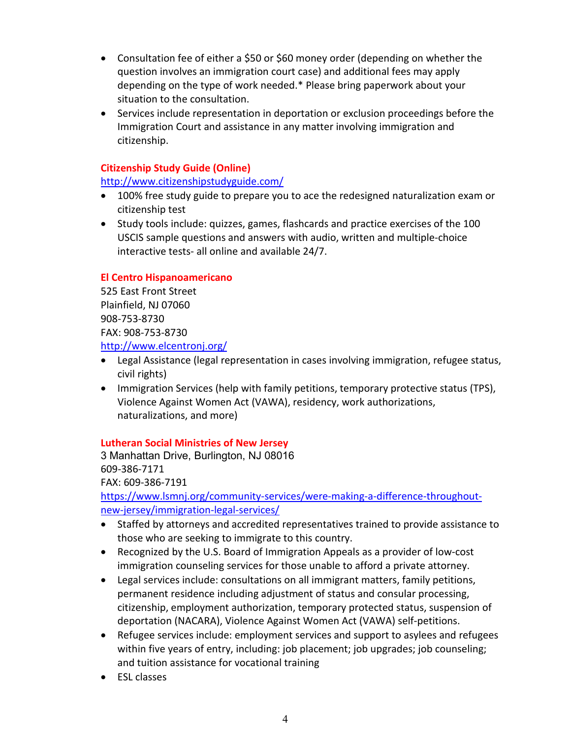- Consultation fee of either a \$50 or \$60 money order (depending on whether the question involves an immigration court case) and additional fees may apply depending on the type of work needed.\* Please bring paperwork about your situation to the consultation.
- Services include representation in deportation or exclusion proceedings before the Immigration Court and assistance in any matter involving immigration and citizenship.

# **Citizenship Study Guide (Online)**

<http://www.citizenshipstudyguide.com/>

- 100% free study guide to prepare you to ace the redesigned naturalization exam or citizenship test
- Study tools include: quizzes, games, flashcards and practice exercises of the 100 USCIS sample questions and answers with audio, written and multiple-choice interactive tests- all online and available 24/7.

# **El Centro Hispanoamericano**

525 East Front Street Plainfield, NJ 07060 908-753-8730 FAX: 908-753-8730

<http://www.elcentronj.org/>

- Legal Assistance (legal representation in cases involving immigration, refugee status, civil rights)
- Immigration Services (help with family petitions, temporary protective status (TPS), Violence Against Women Act (VAWA), residency, work authorizations, naturalizations, and more)

# **Lutheran Social Ministries of New Jersey**

3 Manhattan Drive, Burlington, NJ 08016 609-386-7171 FAX: 609-386-7191 [https://www.lsmnj.org/community-services/were-making-a-difference-throughout](https://www.lsmnj.org/community-services/were-making-a-difference-throughout-new-jersey/immigration-legal-services/)[new-jersey/immigration-legal-services/](https://www.lsmnj.org/community-services/were-making-a-difference-throughout-new-jersey/immigration-legal-services/)

- Staffed by attorneys and accredited representatives trained to provide assistance to those who are seeking to immigrate to this country.
- Recognized by the U.S. Board of Immigration Appeals as a provider of low-cost immigration counseling services for those unable to afford a private attorney.
- Legal services include: consultations on all immigrant matters, family petitions, permanent residence including adjustment of status and consular processing, citizenship, employment authorization, temporary protected status, suspension of deportation (NACARA), Violence Against Women Act (VAWA) self-petitions.
- Refugee services include: employment services and support to asylees and refugees within five years of entry, including: job placement; job upgrades; job counseling; and tuition assistance for vocational training
- ESL classes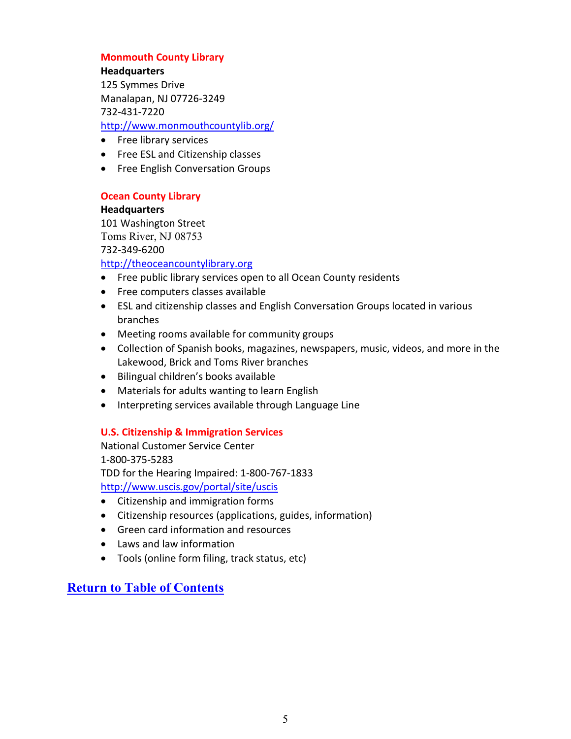# **Monmouth County Library**

**Headquarters** 125 Symmes Drive Manalapan, NJ 07726-3249 732-431-7220 <http://www.monmouthcountylib.org/>

- Free library services
- Free ESL and Citizenship classes
- Free English Conversation Groups

# **Ocean County Library**

## **Headquarters**

101 Washington Street Toms River, NJ 08753 732-349-6200

# [http://theoceancountylibrary.org](http://theoceancountylibrary.org/)

- Free public library services open to all Ocean County residents
- Free computers classes available
- ESL and citizenship classes and English Conversation Groups located in various branches
- Meeting rooms available for community groups
- Collection of Spanish books, magazines, newspapers, music, videos, and more in the Lakewood, Brick and Toms River branches
- Bilingual children's books available
- Materials for adults wanting to learn English
- Interpreting services available through Language Line

# **U.S. Citizenship & Immigration Services**

National Customer Service Center 1-800-375-5283 TDD for the Hearing Impaired: 1-800-767-1833 <http://www.uscis.gov/portal/site/uscis>

- Citizenship and immigration forms
- Citizenship resources (applications, guides, information)
- Green card information and resources
- Laws and law information
- Tools (online form filing, track status, etc)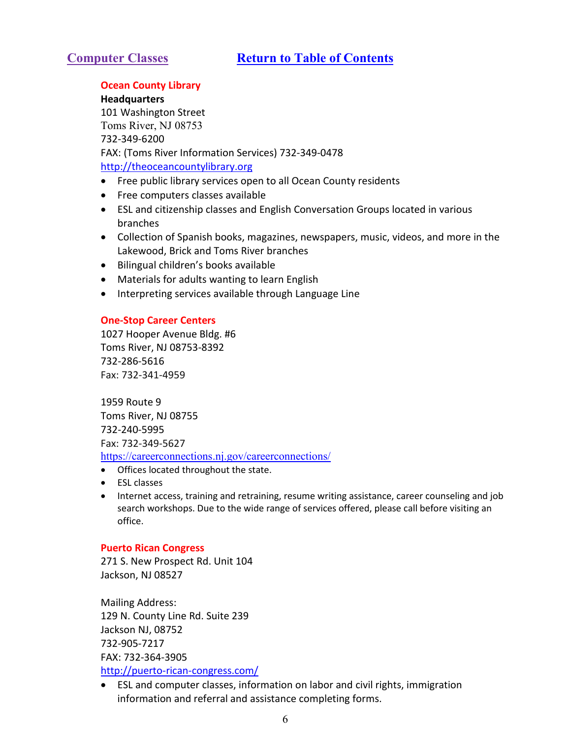# <span id="page-5-0"></span>**Ocean County Library**

**Headquarters** 101 Washington Street Toms River, NJ 08753 732-349-6200 FAX: (Toms River Information Services) 732-349-0478 [http://theoceancountylibrary.org](http://theoceancountylibrary.org/)

- Free public library services open to all Ocean County residents
- Free computers classes available
- ESL and citizenship classes and English Conversation Groups located in various branches
- Collection of Spanish books, magazines, newspapers, music, videos, and more in the Lakewood, Brick and Toms River branches
- Bilingual children's books available
- Materials for adults wanting to learn English
- Interpreting services available through Language Line

# **One-Stop Career Centers**

1027 Hooper Avenue Bldg. #6 Toms River, NJ 08753-8392 732-286-5616 Fax: 732-341-4959

1959 Route 9 Toms River, NJ 08755 732-240-5995 Fax: 732-349-5627 <https://careerconnections.nj.gov/careerconnections/>

- Offices located throughout the state.
- ESL classes
- Internet access, training and retraining, resume writing assistance, career counseling and job search workshops. Due to the wide range of services offered, please call before visiting an office.

# **Puerto Rican Congress**

271 S. New Prospect Rd. Unit 104 Jackson, NJ 08527

Mailing Address: 129 N. County Line Rd. Suite 239 Jackson NJ, 08752 732-905-7217 FAX: 732-364-3905 <http://puerto-rican-congress.com/>

<span id="page-5-1"></span>• ESL and computer classes, information on labor and civil rights, immigration information and referral and assistance completing forms.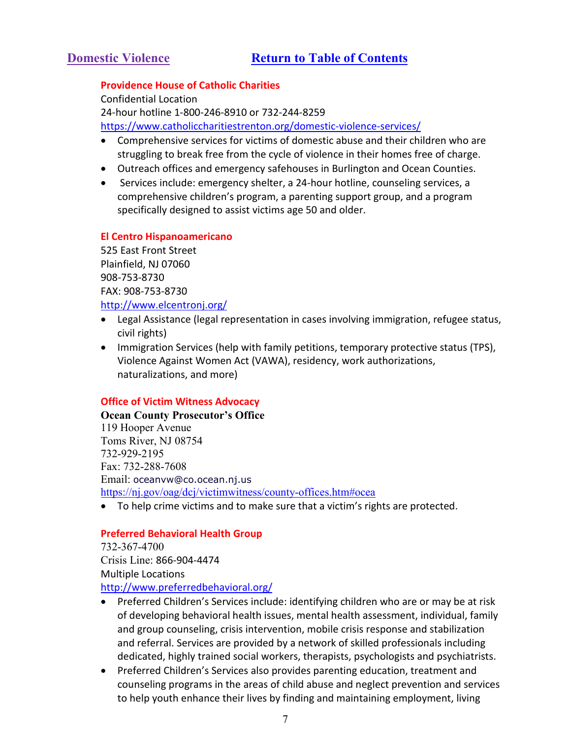# **Providence House of Catholic Charities**

Confidential Location 24-hour hotline 1-800-246-8910 or 732-244-8259 <https://www.catholiccharitiestrenton.org/domestic-violence-services/>

- Comprehensive services for victims of domestic abuse and their children who are struggling to break free from the cycle of violence in their homes free of charge.
- Outreach offices and emergency safehouses in Burlington and Ocean Counties.
- Services include: emergency shelter, a 24-hour hotline, counseling services, a comprehensive children's program, a parenting support group, and a program specifically designed to assist victims age 50 and older.

# **El Centro Hispanoamericano**

525 East Front Street Plainfield, NJ 07060 908-753-8730 FAX: 908-753-8730 <http://www.elcentronj.org/>

- Legal Assistance (legal representation in cases involving immigration, refugee status, civil rights)
- Immigration Services (help with family petitions, temporary protective status (TPS), Violence Against Women Act (VAWA), residency, work authorizations, naturalizations, and more)

# **Office of Victim Witness Advocacy**

**Ocean County Prosecutor's Office** 119 Hooper Avenue Toms River, NJ 08754 732-929-2195 Fax: 732-288-7608 Email: [oceanvw@co.ocean.nj.us](mailto:oceanvw@co.ocean.nj.us) [https://nj.gov/oag/dcj/victimwitness/county-offices.htm#ocea](https://nj.gov/oag/dcj/victimwitness/county-offices.htm%23ocea)

• To help crime victims and to make sure that a victim's rights are protected.

# **Preferred Behavioral Health Group**

732-367-4700 Crisis Line: 866-904-4474 Multiple Locations <http://www.preferredbehavioral.org/>

- Preferred Children's Services include: identifying children who are or may be at risk of developing behavioral health issues, mental health assessment, individual, family and group counseling, crisis intervention, mobile crisis response and stabilization and referral. Services are provided by a network of skilled professionals including dedicated, highly trained social workers, therapists, psychologists and psychiatrists.
- Preferred Children's Services also provides parenting education, treatment and counseling programs in the areas of child abuse and neglect prevention and services to help youth enhance their lives by finding and maintaining employment, living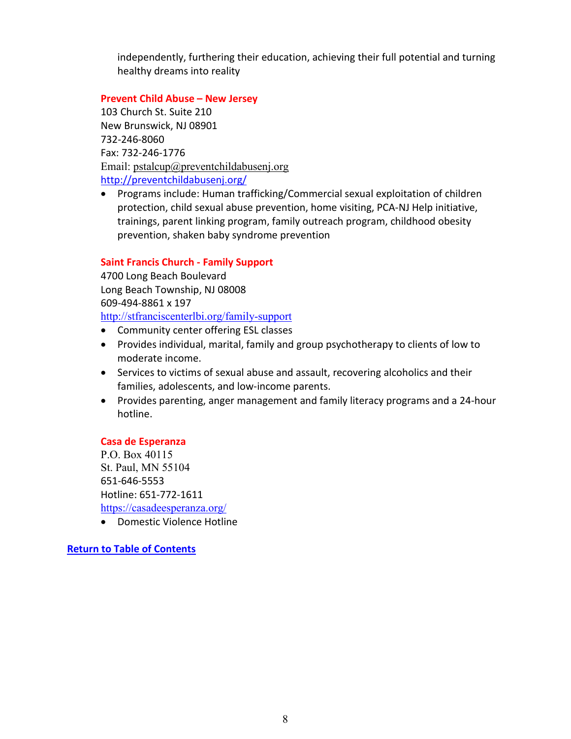independently, furthering their education, achieving their full potential and turning healthy dreams into reality

# **Prevent Child Abuse – New Jersey**

103 Church St. Suite 210 New Brunswick, NJ 08901 732-246-8060 Fax: 732-246-1776 Email: [pstalcup@preventchildabusenj.org](mailto:pstalcup@preventchildabusenj.org) <http://preventchildabusenj.org/>

• Programs include: Human trafficking/Commercial sexual exploitation of children protection, child sexual abuse prevention, home visiting, PCA-NJ Help initiative, trainings, parent linking program, family outreach program, childhood obesity prevention, shaken baby syndrome prevention

# **Saint Francis Church - Family Support**

4700 Long Beach Boulevard Long Beach Township, NJ 08008 609-494-8861 x 197 <http://stfranciscenterlbi.org/family-support>

• Community center offering ESL classes

- Provides individual, marital, family and group psychotherapy to clients of low to moderate income.
- Services to victims of sexual abuse and assault, recovering alcoholics and their families, adolescents, and low-income parents.
- Provides parenting, anger management and family literacy programs and a 24-hour hotline.

# **Casa de Esperanza**

P.O. Box 40115 St. Paul, MN 55104 651-646-5553 Hotline: 651-772-1611 <https://casadeesperanza.org/>

• Domestic Violence Hotline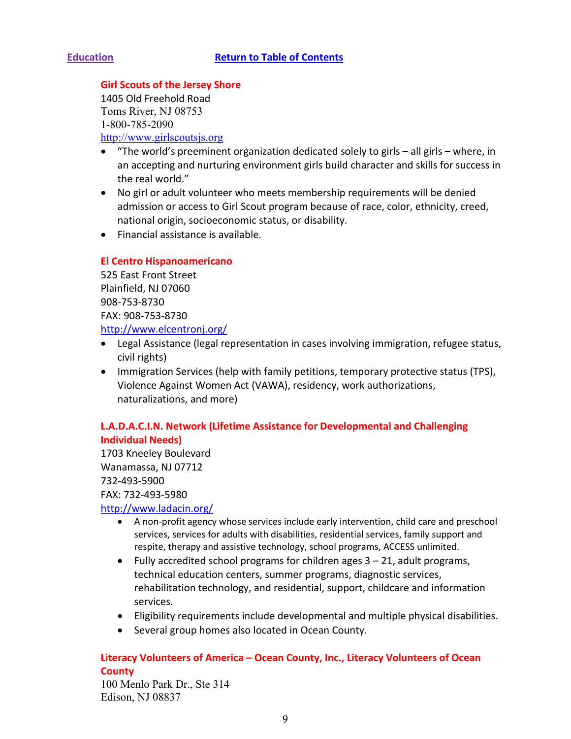# <span id="page-8-0"></span>**Girl Scouts of the Jersey Shore**

1405 Old Freehold Road Toms River, NJ 08753 1-800-785-2090 [http://www.girlscoutsjs.org](http://www.girlscoutsjs.org/)

- "The world's preeminent organization dedicated solely to girls all girls where, in an accepting and nurturing environment girls build character and skills for success in the real world."
- No girl or adult volunteer who meets membership requirements will be denied admission or access to Girl Scout program because of race, color, ethnicity, creed, national origin, socioeconomic status, or disability.
- Financial assistance is available.

# **El Centro Hispanoamericano**

525 East Front Street Plainfield, NJ 07060 908-753-8730 FAX: 908-753-8730 <http://www.elcentronj.org/>

- Legal Assistance (legal representation in cases involving immigration, refugee status, civil rights)
- Immigration Services (help with family petitions, temporary protective status (TPS), Violence Against Women Act (VAWA), residency, work authorizations, naturalizations, and more)

# **L.A.D.A.C.I.N. Network (Lifetime Assistance for Developmental and Challenging Individual Needs)**

1703 Kneeley Boulevard Wanamassa, NJ 07712 732-493-5900 FAX: 732-493-5980

# <http://www.ladacin.org/>

- A non-profit agency whose services include early intervention, child care and preschool services, services for adults with disabilities, residential services, family support and respite, therapy and assistive technology, school programs, ACCESS unlimited.
- Fully accredited school programs for children ages  $3 21$ , adult programs, technical education centers, summer programs, diagnostic services, rehabilitation technology, and residential, support, childcare and information services.
- Eligibility requirements include developmental and multiple physical disabilities.
- Several group homes also located in Ocean County.

# **Literacy Volunteers of America – Ocean County, Inc., Literacy Volunteers of Ocean County**

100 Menlo Park Dr., Ste 314 Edison, NJ 08837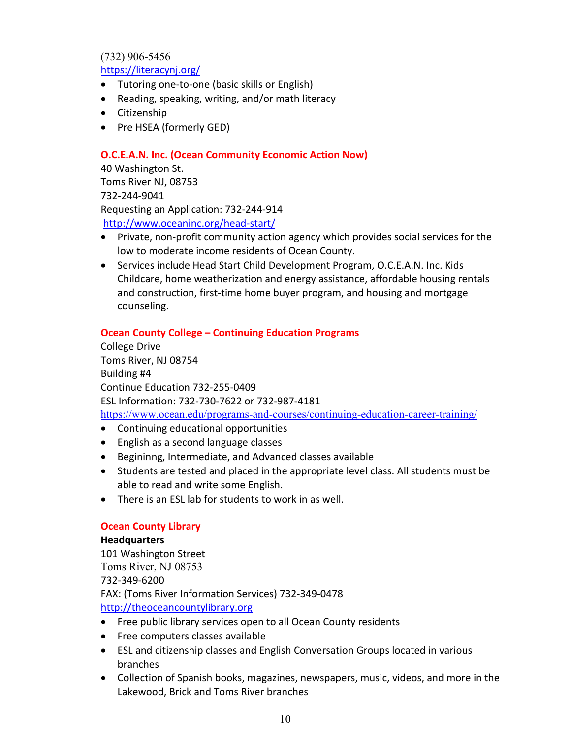(732) 906-5456

<https://literacynj.org/>

- Tutoring one-to-one (basic skills or English)
- Reading, speaking, writing, and/or math literacy
- Citizenship
- Pre HSEA (formerly GED)

# **O.C.E.A.N. Inc. (Ocean Community Economic Action Now)**

40 Washington St. Toms River NJ, 08753 732-244-9041 Requesting an Application: 732-244-914 <http://www.oceaninc.org/head-start/>

- Private, non-profit community action agency which provides social services for the low to moderate income residents of Ocean County.
- Services include Head Start Child Development Program, O.C.E.A.N. Inc. Kids Childcare, home weatherization and energy assistance, affordable housing rentals and construction, first-time home buyer program, and housing and mortgage counseling.

# **Ocean County College – Continuing Education Programs**

College Drive Toms River, NJ 08754 Building #4 Continue Education 732-255-0409 ESL Information: 732-730-7622 or 732-987-4181 <https://www.ocean.edu/programs-and-courses/continuing-education-career-training/>

- Continuing educational opportunities
- English as a second language classes
- Begininng, Intermediate, and Advanced classes available
- Students are tested and placed in the appropriate level class. All students must be able to read and write some English.
- There is an ESL lab for students to work in as well.

# **Ocean County Library**

# **Headquarters**

101 Washington Street Toms River, NJ 08753 732-349-6200 FAX: (Toms River Information Services) 732-349-0478 [http://theoceancountylibrary.org](http://theoceancountylibrary.org/)

- Free public library services open to all Ocean County residents
- Free computers classes available
- ESL and citizenship classes and English Conversation Groups located in various branches
- Collection of Spanish books, magazines, newspapers, music, videos, and more in the Lakewood, Brick and Toms River branches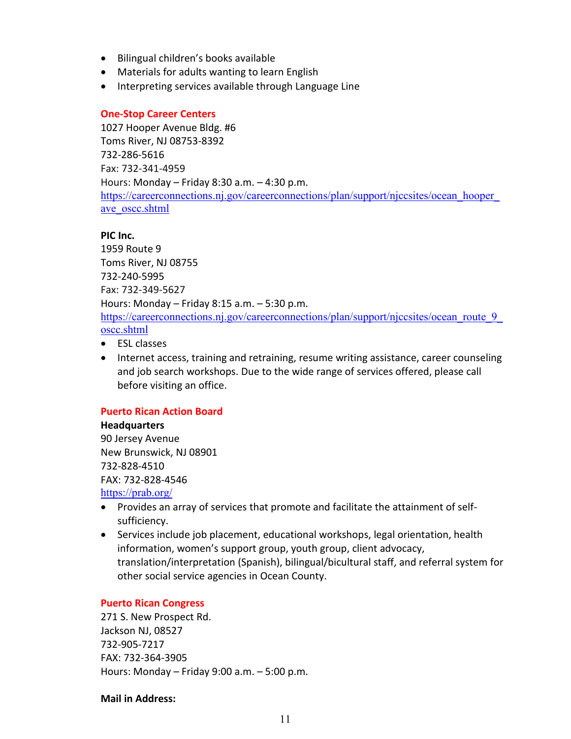- Bilingual children's books available
- Materials for adults wanting to learn English
- Interpreting services available through Language Line

## **One-Stop Career Centers**

1027 Hooper Avenue Bldg. #6 Toms River, NJ 08753-8392 732-286-5616 Fax: 732-341-4959 Hours: Monday – Friday 8:30 a.m. – 4:30 p.m. [https://careerconnections.nj.gov/careerconnections/plan/support/njccsites/ocean\\_hooper\\_](https://careerconnections.nj.gov/careerconnections/plan/support/njccsites/ocean_hooper_ave_oscc.shtml) ave oscc.shtml

## **PIC Inc.**

1959 Route 9 Toms River, NJ 08755 732-240-5995 Fax: 732-349-5627 Hours: Monday – Friday 8:15 a.m. – 5:30 p.m. [https://careerconnections.nj.gov/careerconnections/plan/support/njccsites/ocean\\_route\\_9\\_](https://careerconnections.nj.gov/careerconnections/plan/support/njccsites/ocean_route_9_oscc.shtml) [oscc.shtml](https://careerconnections.nj.gov/careerconnections/plan/support/njccsites/ocean_route_9_oscc.shtml)

- ESL classes
- Internet access, training and retraining, resume writing assistance, career counseling and job search workshops. Due to the wide range of services offered, please call before visiting an office.

# **Puerto Rican Action Board**

#### **Headquarters**  90 Jersey Avenue

New Brunswick, NJ 08901 732-828-4510 FAX: 732-828-4546 <https://prab.org/>

• Provides an array of services that promote and facilitate the attainment of selfsufficiency.

• Services include job placement, educational workshops, legal orientation, health information, women's support group, youth group, client advocacy, translation/interpretation (Spanish), bilingual/bicultural staff, and referral system for other social service agencies in Ocean County.

# **Puerto Rican Congress**

271 S. New Prospect Rd. Jackson NJ, 08527 732-905-7217 FAX: 732-364-3905 Hours: Monday – Friday 9:00 a.m. – 5:00 p.m.

## **Mail in Address:**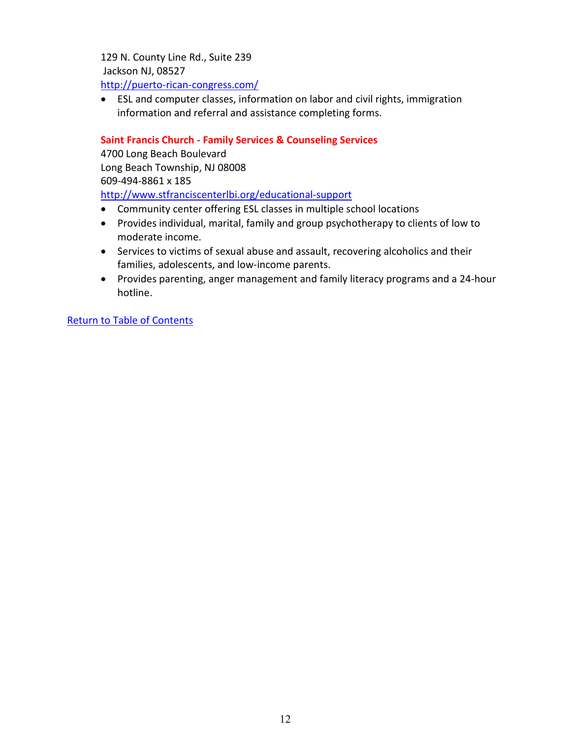129 N. County Line Rd., Suite 239 Jackson NJ, 08527 <http://puerto-rican-congress.com/>

• ESL and computer classes, information on labor and civil rights, immigration information and referral and assistance completing forms.

# **Saint Francis Church - Family Services & Counseling Services**

4700 Long Beach Boulevard Long Beach Township, NJ 08008 609-494-8861 x 185 <http://www.stfranciscenterlbi.org/educational-support>

- Community center offering ESL classes in multiple school locations
- Provides individual, marital, family and group psychotherapy to clients of low to moderate income.
- Services to victims of sexual abuse and assault, recovering alcoholics and their families, adolescents, and low-income parents.
- Provides parenting, anger management and family literacy programs and a 24-hour hotline.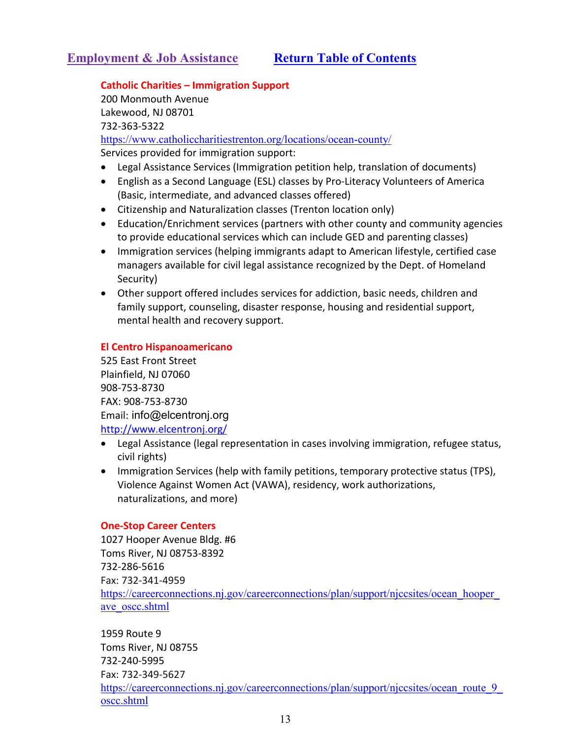# <span id="page-12-0"></span>**Catholic Charities – Immigration Support**

200 Monmouth Avenue Lakewood, NJ 08701 732-363-5322 <https://www.catholiccharitiestrenton.org/locations/ocean-county/> Services provided for immigration support:

- Legal Assistance Services (Immigration petition help, translation of documents)
- English as a Second Language (ESL) classes by Pro-Literacy Volunteers of America (Basic, intermediate, and advanced classes offered)
- Citizenship and Naturalization classes (Trenton location only)
- Education/Enrichment services (partners with other county and community agencies to provide educational services which can include GED and parenting classes)
- Immigration services (helping immigrants adapt to American lifestyle, certified case managers available for civil legal assistance recognized by the Dept. of Homeland Security)
- Other support offered includes services for addiction, basic needs, children and family support, counseling, disaster response, housing and residential support, mental health and recovery support.

# **El Centro Hispanoamericano**

525 East Front Street Plainfield, NJ 07060 908-753-8730 FAX: 908-753-8730 Email: [info@elcentronj.org](mailto:info@elcentronj.org) <http://www.elcentronj.org/>

- Legal Assistance (legal representation in cases involving immigration, refugee status, civil rights)
- Immigration Services (help with family petitions, temporary protective status (TPS), Violence Against Women Act (VAWA), residency, work authorizations, naturalizations, and more)

# **One-Stop Career Centers**

1027 Hooper Avenue Bldg. #6 Toms River, NJ 08753-8392 732-286-5616 Fax: 732-341-4959 [https://careerconnections.nj.gov/careerconnections/plan/support/njccsites/ocean\\_hooper\\_](https://careerconnections.nj.gov/careerconnections/plan/support/njccsites/ocean_hooper_ave_oscc.shtml) ave oscc.shtml

1959 Route 9 Toms River, NJ 08755 732-240-5995 Fax: 732-349-5627 [https://careerconnections.nj.gov/careerconnections/plan/support/njccsites/ocean\\_route\\_9\\_](https://careerconnections.nj.gov/careerconnections/plan/support/njccsites/ocean_route_9_oscc.shtml) [oscc.shtml](https://careerconnections.nj.gov/careerconnections/plan/support/njccsites/ocean_route_9_oscc.shtml)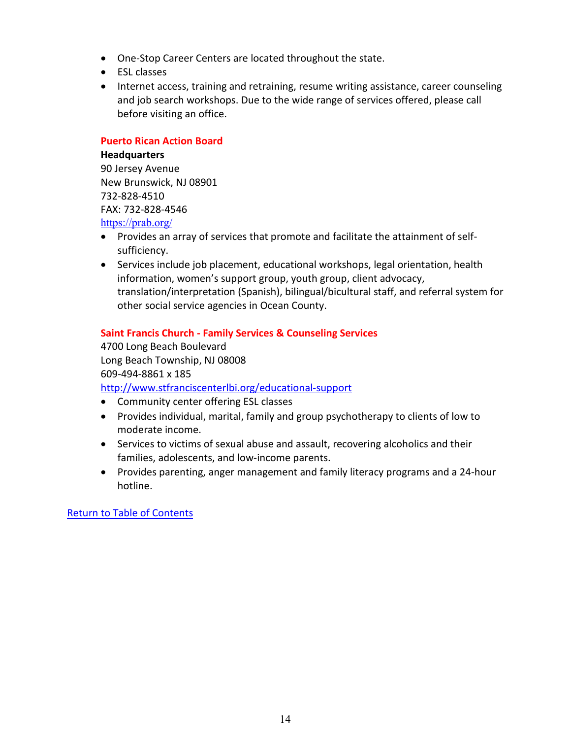- One-Stop Career Centers are located throughout the state.
- ESL classes
- Internet access, training and retraining, resume writing assistance, career counseling and job search workshops. Due to the wide range of services offered, please call before visiting an office.

# **Puerto Rican Action Board**

**Headquarters**  90 Jersey Avenue New Brunswick, NJ 08901 732-828-4510 FAX: 732-828-4546 <https://prab.org/>

- Provides an array of services that promote and facilitate the attainment of selfsufficiency.
- Services include job placement, educational workshops, legal orientation, health information, women's support group, youth group, client advocacy, translation/interpretation (Spanish), bilingual/bicultural staff, and referral system for other social service agencies in Ocean County.

# **Saint Francis Church - Family Services & Counseling Services**

4700 Long Beach Boulevard Long Beach Township, NJ 08008 609-494-8861 x 185 <http://www.stfranciscenterlbi.org/educational-support>

- Community center offering ESL classes
- Provides individual, marital, family and group psychotherapy to clients of low to moderate income.
- Services to victims of sexual abuse and assault, recovering alcoholics and their families, adolescents, and low-income parents.
- Provides parenting, anger management and family literacy programs and a 24-hour hotline.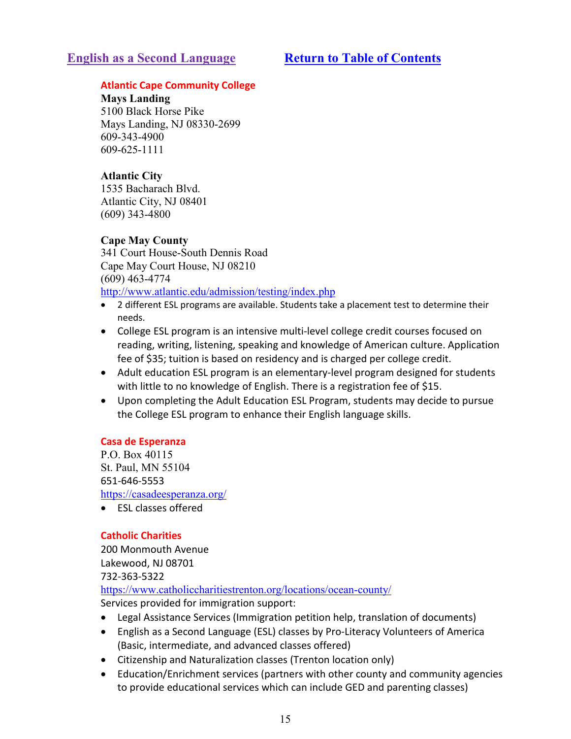# <span id="page-14-0"></span>**English as a Second Language [Return to Table of Contents](#page-1-0)**

# **Atlantic Cape Community College**

**Mays Landing**  5100 Black Horse Pike Mays Landing, NJ 08330-2699 609-343-4900 609-625-1111

# **[Atlantic City](http://www.atlantic.edu/wacc/index.html)**

1535 Bacharach Blvd. Atlantic City, NJ 08401 (609) 343-4800

# **[Cape May County](http://www.atlantic.edu/capemay/index.html)**

341 Court House-South Dennis Road Cape May Court House, NJ 08210 (609) 463-4774 <http://www.atlantic.edu/admission/testing/index.php>

- 2 different ESL programs are available. Students take a placement test to determine their needs.
- College ESL program is an intensive multi-level college credit courses focused on reading, writing, listening, speaking and knowledge of American culture. Application fee of \$35; tuition is based on residency and is charged per college credit.
- Adult education ESL program is an elementary-level program designed for students with little to no knowledge of English. There is a registration fee of \$15.
- Upon completing the Adult Education ESL Program, students may decide to pursue the College ESL program to enhance their English language skills.

# **Casa de Esperanza**

P.O. Box 40115 St. Paul, MN 55104 651-646-5553 <https://casadeesperanza.org/>

• ESL classes offered

# **Catholic Charities**

200 Monmouth Avenue Lakewood, NJ 08701 732-363-5322

<https://www.catholiccharitiestrenton.org/locations/ocean-county/>

Services provided for immigration support:

- Legal Assistance Services (Immigration petition help, translation of documents)
- English as a Second Language (ESL) classes by Pro-Literacy Volunteers of America (Basic, intermediate, and advanced classes offered)
- Citizenship and Naturalization classes (Trenton location only)
- Education/Enrichment services (partners with other county and community agencies to provide educational services which can include GED and parenting classes)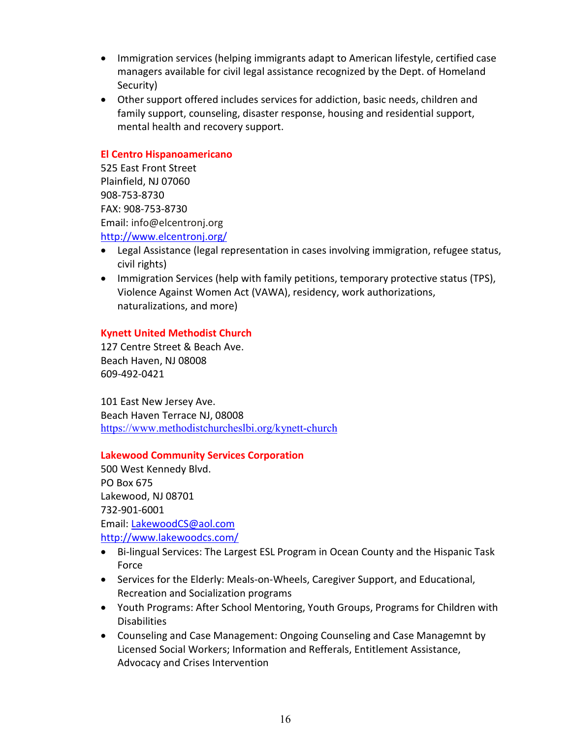- Immigration services (helping immigrants adapt to American lifestyle, certified case managers available for civil legal assistance recognized by the Dept. of Homeland Security)
- Other support offered includes services for addiction, basic needs, children and family support, counseling, disaster response, housing and residential support, mental health and recovery support.

# **El Centro Hispanoamericano**

525 East Front Street Plainfield, NJ 07060 908-753-8730 FAX: 908-753-8730 Email: [info@elcentronj.org](mailto:info@elcentronj.org) <http://www.elcentronj.org/>

- Legal Assistance (legal representation in cases involving immigration, refugee status, civil rights)
- Immigration Services (help with family petitions, temporary protective status (TPS), Violence Against Women Act (VAWA), residency, work authorizations, naturalizations, and more)

# **Kynett United Methodist Church**

127 Centre Street & Beach Ave. Beach Haven, NJ 08008 609-492-0421

101 East New Jersey Ave. Beach Haven Terrace NJ, 08008 <https://www.methodistchurcheslbi.org/kynett-church>

# **Lakewood Community Services Corporation**

500 West Kennedy Blvd. PO Box 675 Lakewood, NJ 08701 732-901-6001 Email: [LakewoodCS@aol.com](mailto:LakewoodCS@aol.com) <http://www.lakewoodcs.com/>

- Bi-lingual Services: The Largest ESL Program in Ocean County and the Hispanic Task Force
- Services for the Elderly: Meals-on-Wheels, Caregiver Support, and Educational, Recreation and Socialization programs
- Youth Programs: After School Mentoring, Youth Groups, Programs for Children with **Disabilities**
- Counseling and Case Management: Ongoing Counseling and Case Managemnt by Licensed Social Workers; Information and Refferals, Entitlement Assistance, Advocacy and Crises Intervention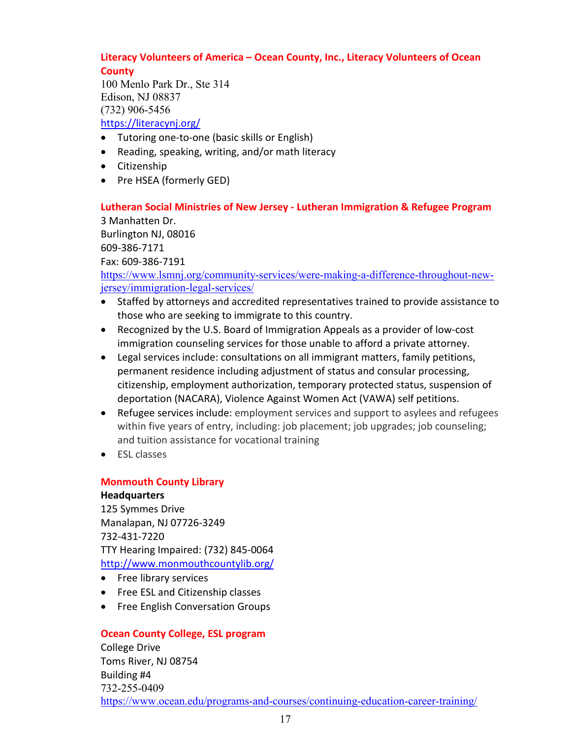# **Literacy Volunteers of America – Ocean County, Inc., Literacy Volunteers of Ocean County**

100 Menlo Park Dr., Ste 314 Edison, NJ 08837 (732) 906-5456 <https://literacynj.org/>

- Tutoring one-to-one (basic skills or English)
- Reading, speaking, writing, and/or math literacy
- Citizenship
- Pre HSEA (formerly GED)

### **Lutheran Social Ministries of New Jersey - Lutheran Immigration & Refugee Program** 3 Manhatten Dr.

Burlington NJ, 08016 609-386-7171 Fax: 609-386-7191 [https://www.lsmnj.org/community-services/were-making-a-difference-throughout-new](https://www.lsmnj.org/community-services/were-making-a-difference-throughout-new-jersey/immigration-legal-services/)[jersey/immigration-legal-services/](https://www.lsmnj.org/community-services/were-making-a-difference-throughout-new-jersey/immigration-legal-services/)

- Staffed by attorneys and accredited representatives trained to provide assistance to those who are seeking to immigrate to this country.
- Recognized by the U.S. Board of Immigration Appeals as a provider of low-cost immigration counseling services for those unable to afford a private attorney.
- Legal services include: consultations on all immigrant matters, family petitions, permanent residence including adjustment of status and consular processing, citizenship, employment authorization, temporary protected status, suspension of deportation (NACARA), Violence Against Women Act (VAWA) self petitions.
- Refugee services include: employment services and support to asylees and refugees within five years of entry, including: job placement; job upgrades; job counseling; and tuition assistance for vocational training
- ESL classes

# **Monmouth County Library Headquarters**

125 Symmes Drive Manalapan, NJ 07726-3249 732-431-7220 TTY Hearing Impaired: (732) 845-0064 <http://www.monmouthcountylib.org/>

- Free library services
- Free ESL and Citizenship classes
- Free English Conversation Groups

# **Ocean County College, ESL program**

College Drive Toms River, NJ 08754 Building #4 732-255-0409 <https://www.ocean.edu/programs-and-courses/continuing-education-career-training/>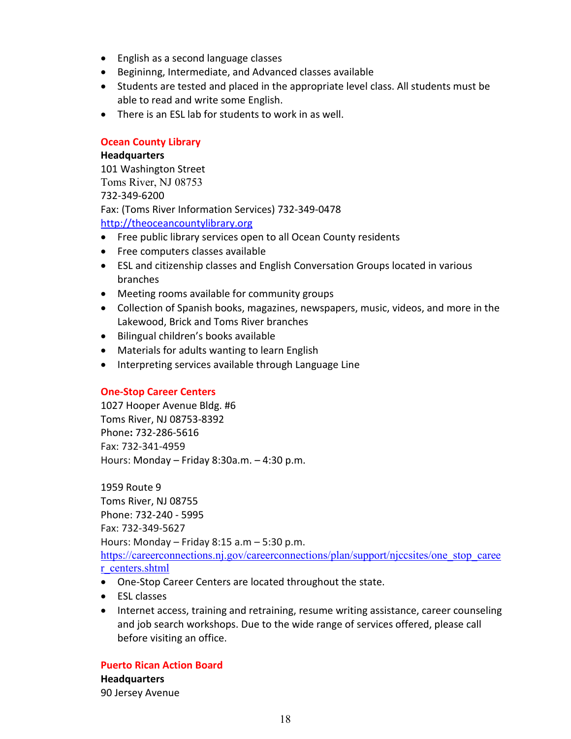- English as a second language classes
- Begininng, Intermediate, and Advanced classes available
- Students are tested and placed in the appropriate level class. All students must be able to read and write some English.
- There is an ESL lab for students to work in as well.

# **Ocean County Library**

# **Headquarters**

101 Washington Street Toms River, NJ 08753 732-349-6200 Fax: (Toms River Information Services) 732-349-0478 [http://theoceancountylibrary.org](http://theoceancountylibrary.org/)

- Free public library services open to all Ocean County residents
- Free computers classes available
- ESL and citizenship classes and English Conversation Groups located in various branches
- Meeting rooms available for community groups
- Collection of Spanish books, magazines, newspapers, music, videos, and more in the Lakewood, Brick and Toms River branches
- Bilingual children's books available
- Materials for adults wanting to learn English
- Interpreting services available through Language Line

# **One-Stop Career Centers**

1027 Hooper Avenue Bldg. #6 Toms River, NJ 08753-8392 Phone**:** 732-286-5616 Fax: 732-341-4959 Hours: Monday – Friday 8:30a.m. – 4:30 p.m.

1959 Route 9 Toms River, NJ 08755 Phone: 732-240 - 5995 Fax: 732-349-5627 Hours: Monday – Friday 8:15 a.m – 5:30 p.m. [https://careerconnections.nj.gov/careerconnections/plan/support/njccsites/one\\_stop\\_caree](https://careerconnections.nj.gov/careerconnections/plan/support/njccsites/one_stop_career_centers.shtml) [r\\_centers.shtml](https://careerconnections.nj.gov/careerconnections/plan/support/njccsites/one_stop_career_centers.shtml)

- One-Stop Career Centers are located throughout the state.
- ESL classes
- Internet access, training and retraining, resume writing assistance, career counseling and job search workshops. Due to the wide range of services offered, please call before visiting an office.

**Puerto Rican Action Board Headquarters**  90 Jersey Avenue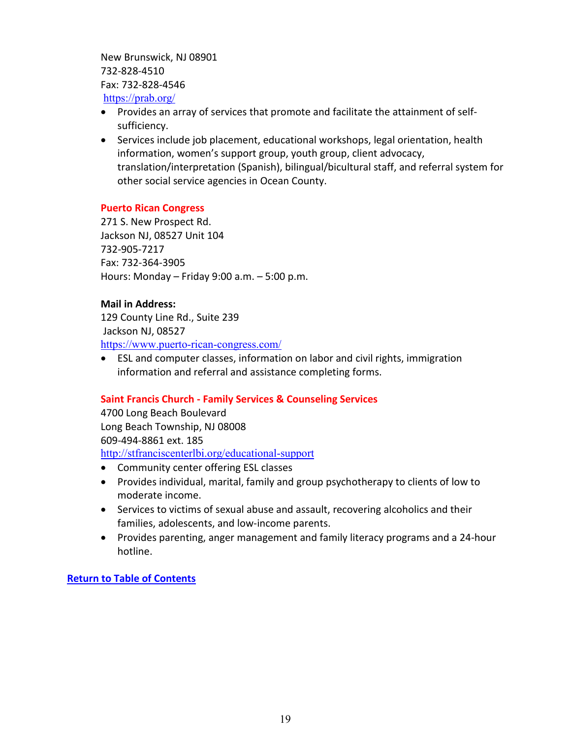New Brunswick, NJ 08901 732-828-4510 Fax: 732-828-4546 <https://prab.org/>

- Provides an array of services that promote and facilitate the attainment of selfsufficiency.
- Services include job placement, educational workshops, legal orientation, health information, women's support group, youth group, client advocacy, translation/interpretation (Spanish), bilingual/bicultural staff, and referral system for other social service agencies in Ocean County.

# **Puerto Rican Congress**

271 S. New Prospect Rd. Jackson NJ, 08527 Unit 104 732-905-7217 Fax: 732-364-3905 Hours: Monday – Friday 9:00 a.m. – 5:00 p.m.

# **Mail in Address:**

129 County Line Rd., Suite 239 Jackson NJ, 08527 <https://www.puerto-rican-congress.com/>

• ESL and computer classes, information on labor and civil rights, immigration information and referral and assistance completing forms.

# **Saint Francis Church - Family Services & Counseling Services**

4700 Long Beach Boulevard Long Beach Township, NJ 08008 609-494-8861 ext. 185 <http://stfranciscenterlbi.org/educational-support>

- Community center offering ESL classes
- Provides individual, marital, family and group psychotherapy to clients of low to moderate income.
- Services to victims of sexual abuse and assault, recovering alcoholics and their families, adolescents, and low-income parents.
- <span id="page-18-0"></span>• Provides parenting, anger management and family literacy programs and a 24-hour hotline.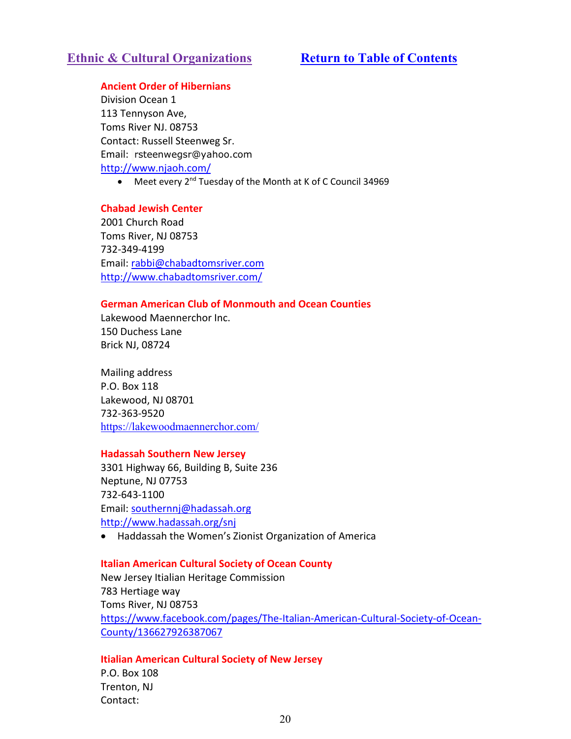# **Ethnic & Cultural Organizations [Return to Table of Contents](#page-1-0)**

## **Ancient Order of Hibernians**

Division Ocean 1 113 Tennyson Ave, Toms River NJ. 08753 Contact: Russell Steenweg Sr. Email: [rsteenwegsr@yahoo.com](mailto:rsteenwegsr@yahoo.com) <http://www.njaoh.com/>

• Meet every 2<sup>nd</sup> Tuesday of the Month at K of C Council 34969

#### **Chabad Jewish Center**

2001 Church Road Toms River, NJ 08753 732-349-4199 Email: [rabbi@chabadtomsriver.com](mailto:rabbi@chabadtomsriver.com) <http://www.chabadtomsriver.com/>

# **German American Club of Monmouth and Ocean Counties**

Lakewood Maennerchor Inc. 150 Duchess Lane Brick NJ, 08724

Mailing address P.O. Box 118 Lakewood, NJ 08701 732-363-9520 <https://lakewoodmaennerchor.com/>

#### **Hadassah Southern New Jersey**

3301 Highway 66, Building B, Suite 236 Neptune, NJ 07753 732-643-1100 Email: [southernnj@hadassah.org](mailto:southernnj@hadassah.org) <http://www.hadassah.org/snj>

• Haddassah the Women's Zionist Organization of America

#### **Italian American Cultural Society of Ocean County**

New Jersey Itialian Heritage Commission 783 Hertiage way Toms River, NJ 08753 [https://www.facebook.com/pages/The-Italian-American-Cultural-Society-of-Ocean-](https://www.facebook.com/pages/The-Italian-American-Cultural-Society-of-Ocean-County/136627926387067)[County/136627926387067](https://www.facebook.com/pages/The-Italian-American-Cultural-Society-of-Ocean-County/136627926387067)

#### **Itialian American Cultural Society of New Jersey**

P.O. Box 108 Trenton, NJ Contact: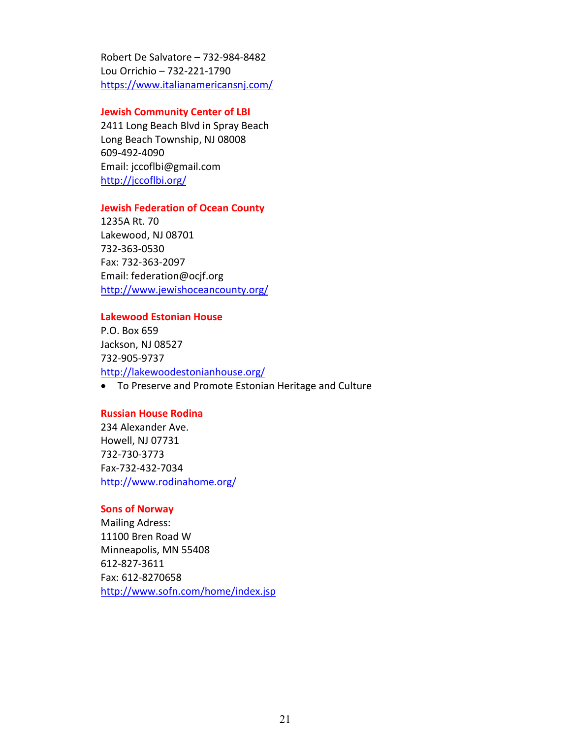Robert De Salvatore – 732-984-8482 Lou Orrichio – 732-221-1790 https://www.italianamericansnj.com/

#### **Jewish Community Center of LBI**

2411 Long Beach Blvd in Spray Beach Long Beach Township, NJ 08008 609-492-4090 Email: jccoflbi@gmail.com <http://jccoflbi.org/>

#### **Jewish Federation of Ocean County**

1235A Rt. 70 Lakewood, NJ 08701 732-363-0530 Fax: 732-363-2097 Email: federation@ocjf.org <http://www.jewishoceancounty.org/>

#### **Lakewood Estonian House**

P.O. Box 659 Jackson, NJ 08527 732-905-9737 <http://lakewoodestonianhouse.org/>

• To Preserve and Promote Estonian Heritage and Culture

#### **Russian House Rodina**

234 Alexander Ave. Howell, NJ 07731 732-730-3773 Fax-732-432-7034 <http://www.rodinahome.org/>

#### **Sons of Norway**

Mailing Adress: 11100 Bren Road W Minneapolis, MN 55408 612-827-3611 Fax: 612-8270658 <http://www.sofn.com/home/index.jsp>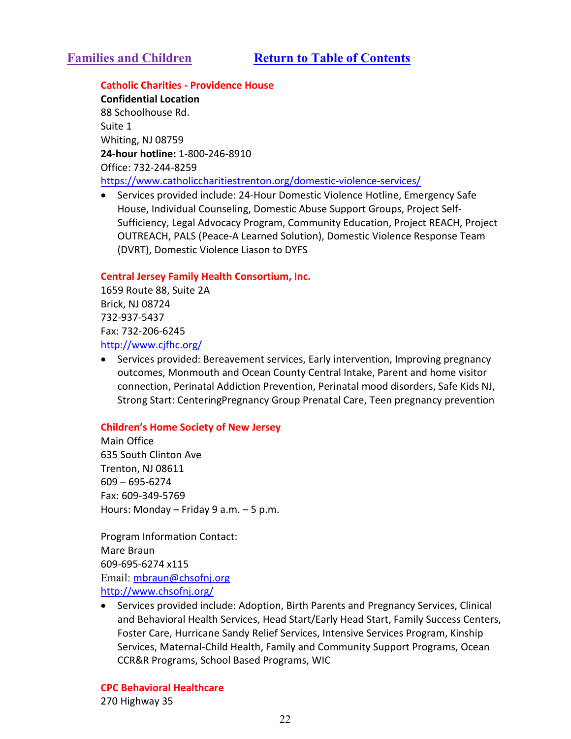#### <span id="page-21-0"></span>**Catholic Charities - Providence House**

**Confidential Location** 88 Schoolhouse Rd. Suite 1 Whiting, NJ 08759 **24-hour hotline:** 1-800-246-8910 Office: 732-244-8259 <https://www.catholiccharitiestrenton.org/domestic-violence-services/>

• Services provided include: 24-Hour Domestic Violence Hotline, Emergency Safe House, Individual Counseling, Domestic Abuse Support Groups, Project Self-Sufficiency, Legal Advocacy Program, Community Education, Project REACH, Project OUTREACH, PALS (Peace-A Learned Solution), Domestic Violence Response Team (DVRT), Domestic Violence Liason to DYFS

#### **Central Jersey Family Health Consortium, Inc.**

1659 Route 88, Suite 2A Brick, NJ 08724 732-937-5437 Fax: 732-206-6245 <http://www.cjfhc.org/>

• Services provided: Bereavement services, Early intervention, Improving pregnancy outcomes, Monmouth and Ocean County Central Intake, Parent and home visitor connection, Perinatal Addiction Prevention, Perinatal mood disorders, Safe Kids NJ, Strong Start: CenteringPregnancy Group Prenatal Care, Teen pregnancy prevention

# **Children's Home Society of New Jersey**

Main Office 635 South Clinton Ave Trenton, NJ 08611 609 – 695-6274 Fax: 609-349-5769 Hours: Monday – Friday 9 a.m. – 5 p.m.

Program Information Contact: Mare Braun 609-695-6274 x115 Email: [mbraun@chsofnj.org](mailto:mbraun@chsofnj.org) <http://www.chsofnj.org/>

• Services provided include: Adoption, Birth Parents and Pregnancy Services, Clinical and Behavioral Health Services, Head Start/Early Head Start, Family Success Centers, Foster Care, Hurricane Sandy Relief Services, Intensive Services Program, Kinship Services, Maternal-Child Health, Family and Community Support Programs, Ocean CCR&R Programs, School Based Programs, WIC

**CPC Behavioral Healthcare** 

270 Highway 35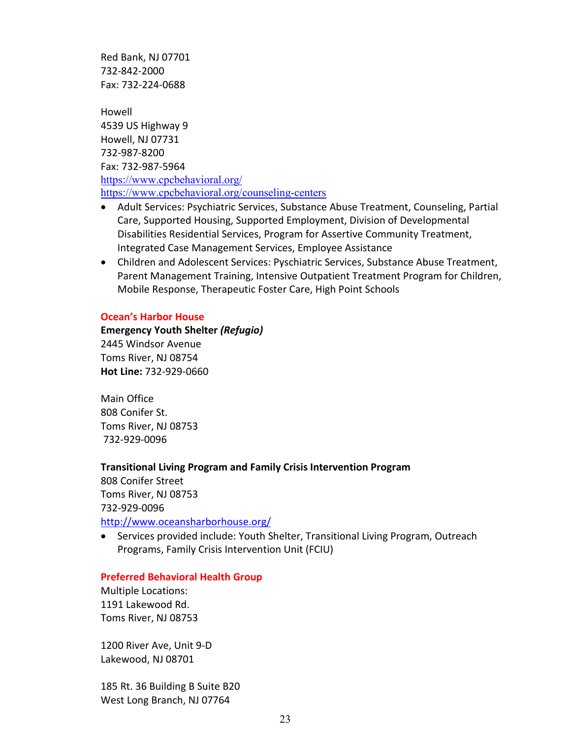Red Bank, NJ 07701 732-842-2000 Fax: 732-224-0688

Howell 4539 US Highway 9 Howell, NJ 07731 732-987-8200 Fax: 732-987-5964 <https://www.cpcbehavioral.org/> <https://www.cpcbehavioral.org/counseling-centers>

- Adult Services: Psychiatric Services, Substance Abuse Treatment, Counseling, Partial Care, Supported Housing, Supported Employment, Division of Developmental Disabilities Residential Services, Program for Assertive Community Treatment, Integrated Case Management Services, Employee Assistance
- Children and Adolescent Services: Pyschiatric Services, Substance Abuse Treatment, Parent Management Training, Intensive Outpatient Treatment Program for Children, Mobile Response, Therapeutic Foster Care, High Point Schools

#### **Ocean's Harbor House**

**Emergency Youth Shelter** *(Refugio)* 2445 Windsor Avenue Toms River, NJ 08754 **Hot Line:** 732-929-0660

Main Office 808 Conifer St. Toms River, NJ 08753 732-929-0096

#### **Transitional Living Program and Family Crisis Intervention Program**

808 Conifer Street Toms River, NJ 08753 732-929-0096 <http://www.oceansharborhouse.org/>

• Services provided include: Youth Shelter, Transitional Living Program, Outreach Programs, Family Crisis Intervention Unit (FCIU)

#### **Preferred Behavioral Health Group**

Multiple Locations: 1191 Lakewood Rd. Toms River, NJ 08753

1200 River Ave, Unit 9-D Lakewood, NJ 08701

185 Rt. 36 Building B Suite B20 West Long Branch, NJ 07764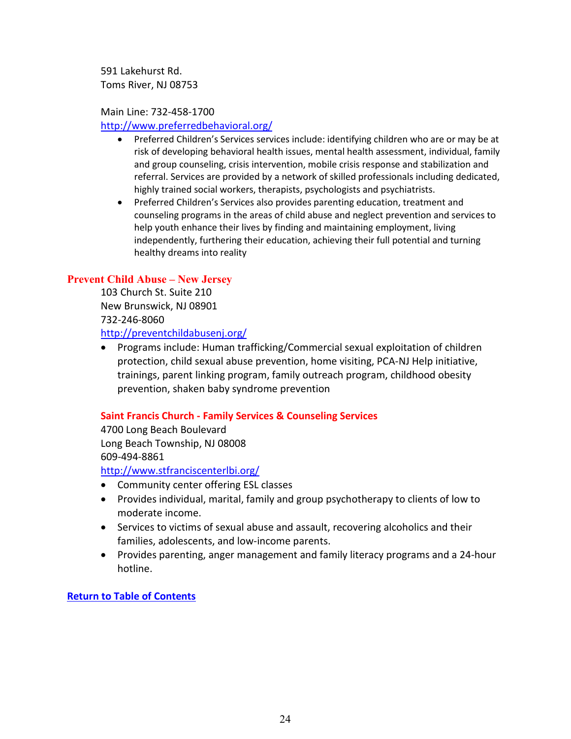591 Lakehurst Rd. Toms River, NJ 08753

# Main Line: 732-458-1700

<http://www.preferredbehavioral.org/>

- Preferred Children's Services services include: identifying children who are or may be at risk of developing behavioral health issues, mental health assessment, individual, family and group counseling, crisis intervention, mobile crisis response and stabilization and referral. Services are provided by a network of skilled professionals including dedicated, highly trained social workers, therapists, psychologists and psychiatrists.
- Preferred Children's Services also provides parenting education, treatment and counseling programs in the areas of child abuse and neglect prevention and services to help youth enhance their lives by finding and maintaining employment, living independently, furthering their education, achieving their full potential and turning healthy dreams into reality

# **Prevent Child Abuse – New Jersey**

103 Church St. Suite 210 New Brunswick, NJ 08901 732-246-8060 <http://preventchildabusenj.org/>

• Programs include: Human trafficking/Commercial sexual exploitation of children protection, child sexual abuse prevention, home visiting, PCA-NJ Help initiative, trainings, parent linking program, family outreach program, childhood obesity prevention, shaken baby syndrome prevention

# **Saint Francis Church - Family Services & Counseling Services**

4700 Long Beach Boulevard Long Beach Township, NJ 08008 609-494-8861

<http://www.stfranciscenterlbi.org/>

- Community center offering ESL classes
- Provides individual, marital, family and group psychotherapy to clients of low to moderate income.
- Services to victims of sexual abuse and assault, recovering alcoholics and their families, adolescents, and low-income parents.
- Provides parenting, anger management and family literacy programs and a 24-hour hotline.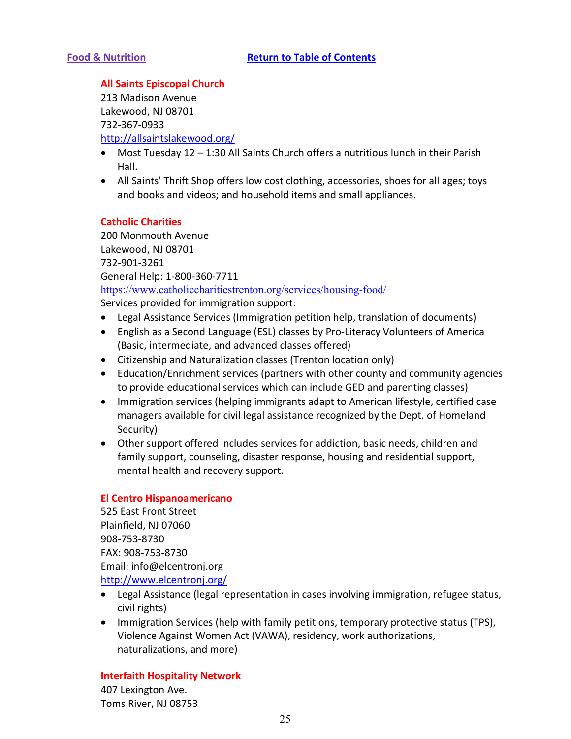# <span id="page-24-0"></span>**All Saints Episcopal Church**

213 Madison Avenue Lakewood, NJ 08701 732-367-0933 <http://allsaintslakewood.org/>

- Most Tuesday 12 1:30 All Saints Church offers a nutritious lunch in their Parish Hall.
- All Saints' Thrift Shop offers low cost clothing, accessories, shoes for all ages; toys and books and videos; and household items and small appliances.

# **Catholic Charities**

200 Monmouth Avenue Lakewood, NJ 08701 732-901-3261 General Help: 1-800-360-7711 <https://www.catholiccharitiestrenton.org/services/housing-food/> Services provided for immigration support:

- Legal Assistance Services (Immigration petition help, translation of documents)
- English as a Second Language (ESL) classes by Pro-Literacy Volunteers of America (Basic, intermediate, and advanced classes offered)
- Citizenship and Naturalization classes (Trenton location only)
- Education/Enrichment services (partners with other county and community agencies to provide educational services which can include GED and parenting classes)
- Immigration services (helping immigrants adapt to American lifestyle, certified case managers available for civil legal assistance recognized by the Dept. of Homeland Security)
- Other support offered includes services for addiction, basic needs, children and family support, counseling, disaster response, housing and residential support, mental health and recovery support.

# **El Centro Hispanoamericano**

525 East Front Street Plainfield, NJ 07060 908-753-8730 FAX: 908-753-8730 Email: [info@elcentronj.org](mailto:info@elcentronj.org) <http://www.elcentronj.org/>

- Legal Assistance (legal representation in cases involving immigration, refugee status, civil rights)
- Immigration Services (help with family petitions, temporary protective status (TPS), Violence Against Women Act (VAWA), residency, work authorizations, naturalizations, and more)

# **Interfaith Hospitality Network**

407 Lexington Ave. Toms River, NJ 08753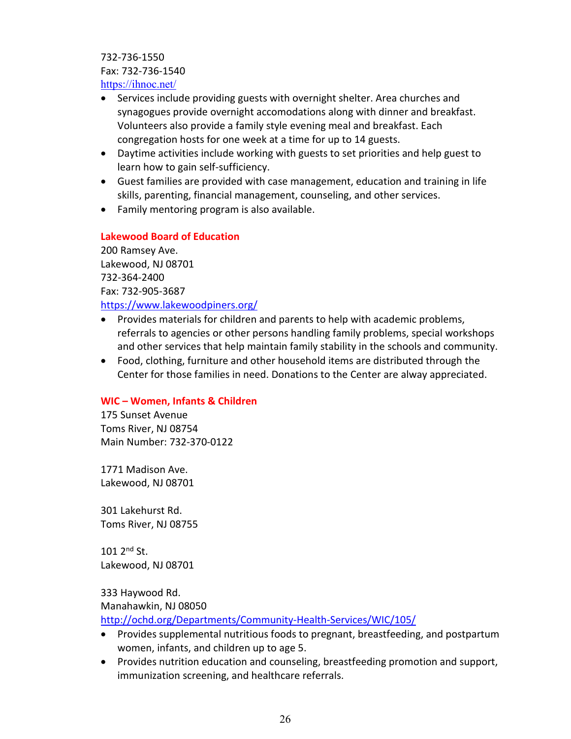732-736-1550 Fax: 732-736-1540 <https://ihnoc.net/>

- Services include providing guests with overnight shelter. Area churches and synagogues provide overnight accomodations along with dinner and breakfast. Volunteers also provide a family style evening meal and breakfast. Each congregation hosts for one week at a time for up to 14 guests.
- Daytime activities include working with guests to set priorities and help guest to learn how to gain self-sufficiency.
- Guest families are provided with case management, education and training in life skills, parenting, financial management, counseling, and other services.
- Family mentoring program is also available.

# **Lakewood Board of Education**

200 Ramsey Ave. Lakewood, NJ 08701 732-364-2400 Fax: 732-905-3687 <https://www.lakewoodpiners.org/>

- Provides materials for children and parents to help with academic problems, referrals to agencies or other persons handling family problems, special workshops and other services that help maintain family stability in the schools and community.
- Food, clothing, furniture and other household items are distributed through the Center for those families in need. Donations to the Center are alway appreciated.

# **WIC – Women, Infants & Children**

175 Sunset Avenue Toms River, NJ 08754 Main Number: 732-370-0122

1771 Madison Ave. Lakewood, NJ 08701

301 Lakehurst Rd. Toms River, NJ 08755

 $101$   $2^{nd}$  St. Lakewood, NJ 08701

333 Haywood Rd. Manahawkin, NJ 08050

<http://ochd.org/Departments/Community-Health-Services/WIC/105/>

- Provides supplemental nutritious foods to pregnant, breastfeeding, and postpartum women, infants, and children up to age 5.
- Provides nutrition education and counseling, breastfeeding promotion and support, immunization screening, and healthcare referrals.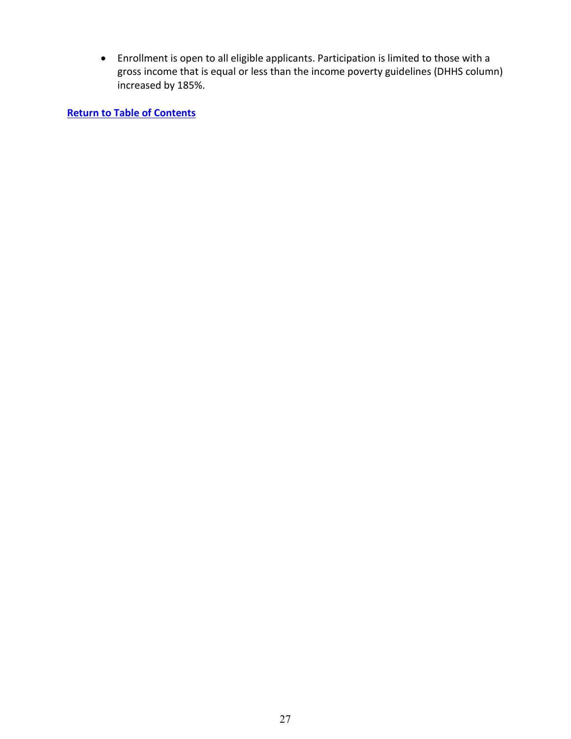• Enrollment is open to all eligible applicants. Participation is limited to those with a gross income that is equal or less than the income poverty guidelines (DHHS column) increased by 185%.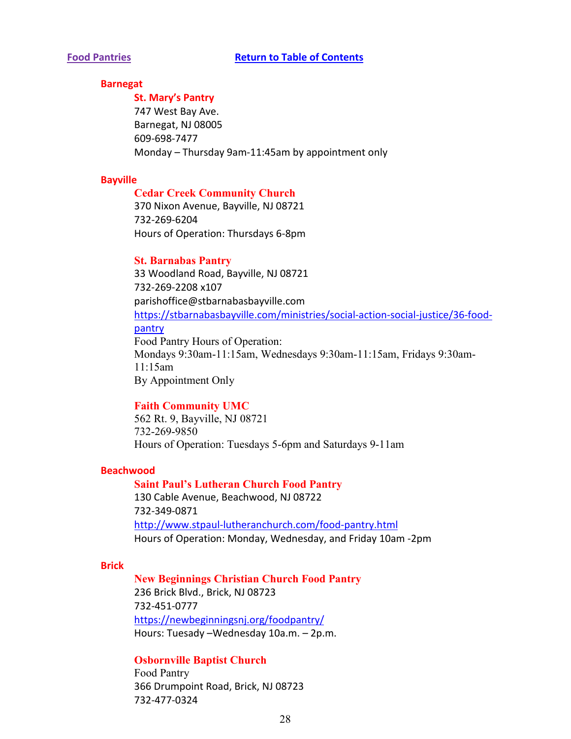#### <span id="page-27-0"></span>**Barnegat**

**St. Mary's Pantry**  747 West Bay Ave. Barnegat, NJ 08005 609-698-7477 Monday – Thursday 9am-11:45am by appointment only

#### **Bayville**

## **Cedar Creek Community Church**

370 Nixon Avenue, Bayville, NJ 08721 732-269-6204 Hours of Operation: Thursdays 6-8pm

#### **St. Barnabas Pantry**

33 Woodland Road, Bayville, NJ 08721 732-269-2208 x107 parishoffice@stbarnabasbayville.com [https://stbarnabasbayville.com/ministries/social-action-social-justice/36-food](https://stbarnabasbayville.com/ministries/social-action-social-justice/36-food-pantry)[pantry](https://stbarnabasbayville.com/ministries/social-action-social-justice/36-food-pantry) Food Pantry Hours of Operation: Mondays 9:30am-11:15am, Wednesdays 9:30am-11:15am, Fridays 9:30am-11:15am By Appointment Only

#### **Faith Community UMC**

562 Rt. 9, Bayville, NJ 08721 732-269-9850 Hours of Operation: Tuesdays 5-6pm and Saturdays 9-11am

#### **Beachwood**

# **Saint Paul's Lutheran Church Food Pantry** 130 Cable Avenue, Beachwood, NJ 08722 732-349-0871 <http://www.stpaul-lutheranchurch.com/food-pantry.html> Hours of Operation: Monday, Wednesday, and Friday 10am -2pm

#### **Brick**

**New Beginnings Christian Church Food Pantry**  236 Brick Blvd., Brick, NJ 08723 732-451-0777 <https://newbeginningsnj.org/foodpantry/> Hours: Tuesady –Wednesday 10a.m. – 2p.m.

# **Osbornville Baptist Church** Food Pantry

366 Drumpoint Road, Brick, NJ 08723 732-477-0324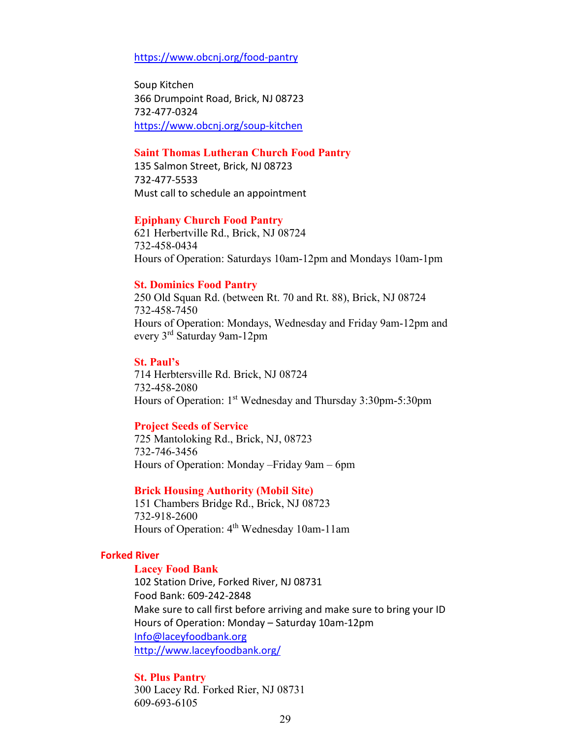<https://www.obcnj.org/food-pantry>

Soup Kitchen 366 Drumpoint Road, Brick, NJ 08723 732-477-0324 <https://www.obcnj.org/soup-kitchen>

# **Saint Thomas Lutheran Church Food Pantry**

135 Salmon Street, Brick, NJ 08723 732-477-5533 Must call to schedule an appointment

#### **Epiphany Church Food Pantry**

621 Herbertville Rd., Brick, NJ 08724 732-458-0434 Hours of Operation: Saturdays 10am-12pm and Mondays 10am-1pm

#### **St. Dominics Food Pantry**

250 Old Squan Rd. (between Rt. 70 and Rt. 88), Brick, NJ 08724 732-458-7450 Hours of Operation: Mondays, Wednesday and Friday 9am-12pm and every 3rd Saturday 9am-12pm

#### **St. Paul's**

714 Herbtersville Rd. Brick, NJ 08724 732-458-2080 Hours of Operation: 1st Wednesday and Thursday 3:30pm-5:30pm

#### **Project Seeds of Service**

725 Mantoloking Rd., Brick, NJ, 08723 732-746-3456 Hours of Operation: Monday –Friday 9am – 6pm

#### **Brick Housing Authority (Mobil Site)**

151 Chambers Bridge Rd., Brick, NJ 08723 732-918-2600 Hours of Operation: 4<sup>th</sup> Wednesday 10am-11am

#### **Forked River**

#### **Lacey Food Bank**

102 Station Drive, Forked River, NJ 08731 Food Bank: 609-242-2848 Make sure to call first before arriving and make sure to bring your ID Hours of Operation: Monday – Saturday 10am-12pm [Info@laceyfoodbank.org](mailto:Info@laceyfoodbank.org) <http://www.laceyfoodbank.org/>

#### **St. Plus Pantry**

300 Lacey Rd. Forked Rier, NJ 08731 609-693-6105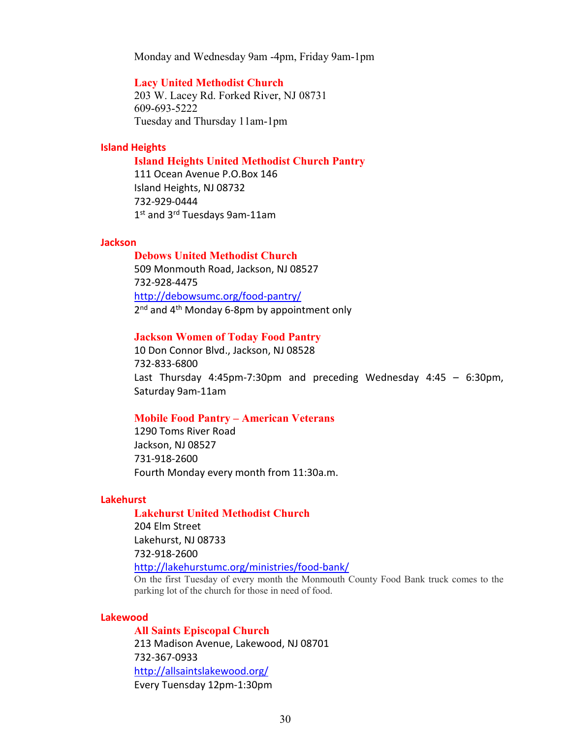Monday and Wednesday 9am -4pm, Friday 9am-1pm

#### **Lacy United Methodist Church**

203 W. Lacey Rd. Forked River, NJ 08731 609-693-5222 Tuesday and Thursday 11am-1pm

#### **Island Heights**

#### **Island Heights United Methodist Church Pantry**

111 Ocean Avenue P.O.Box 146 Island Heights, NJ 08732 732-929-0444 1st and 3rd Tuesdays 9am-11am

#### **Jackson**

**Debows United Methodist Church** 509 Monmouth Road, Jackson, NJ 08527 732-928-4475 <http://debowsumc.org/food-pantry/> 2<sup>nd</sup> and 4<sup>th</sup> Monday 6-8pm by appointment only

#### **Jackson Women of Today Food Pantry**

10 Don Connor Blvd., Jackson, NJ 08528 732-833-6800 Last Thursday 4:45pm-7:30pm and preceding Wednesday 4:45 – 6:30pm, Saturday 9am-11am

#### **Mobile Food Pantry – American Veterans**

1290 Toms River Road Jackson, NJ 08527 731-918-2600 Fourth Monday every month from 11:30a.m.

#### **Lakehurst**

#### **Lakehurst United Methodist Church**

204 Elm Street Lakehurst, NJ 08733 732-918-2600 <http://lakehurstumc.org/ministries/food-bank/>

On the first Tuesday of every month the Monmouth County Food Bank truck comes to the parking lot of the church for those in need of food.

### **Lakewood**

**All Saints Episcopal Church** 213 Madison Avenue, Lakewood, NJ 08701 732-367-0933 <http://allsaintslakewood.org/> Every Tuensday 12pm-1:30pm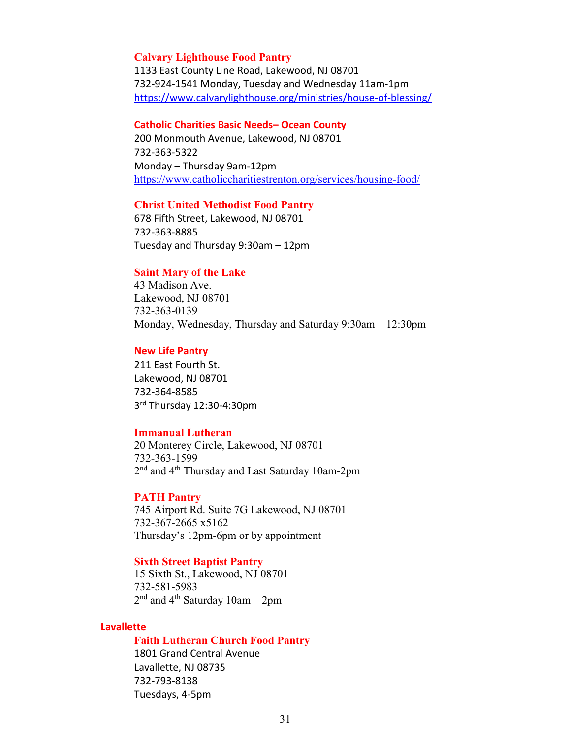#### **Calvary Lighthouse Food Pantry**

1133 East County Line Road, Lakewood, NJ 08701 732-924-1541 Monday, Tuesday and Wednesday 11am-1pm <https://www.calvarylighthouse.org/ministries/house-of-blessing/>

#### **Catholic Charities Basic Needs– Ocean County**

200 Monmouth Avenue, Lakewood, NJ 08701 732-363-5322 Monday – Thursday 9am-12pm <https://www.catholiccharitiestrenton.org/services/housing-food/>

#### **Christ United Methodist Food Pantry**

678 Fifth Street, Lakewood, NJ 08701 732-363-8885 Tuesday and Thursday 9:30am – 12pm

#### **Saint Mary of the Lake**

43 Madison Ave. Lakewood, NJ 08701 732-363-0139 Monday, Wednesday, Thursday and Saturday 9:30am – 12:30pm

#### **New Life Pantry**

211 East Fourth St. Lakewood, NJ 08701 732-364-8585 3rd Thursday 12:30-4:30pm

#### **Immanual Lutheran**

20 Monterey Circle, Lakewood, NJ 08701 732-363-1599 2<sup>nd</sup> and 4<sup>th</sup> Thursday and Last Saturday 10am-2pm

#### **PATH Pantry**

745 Airport Rd. Suite 7G Lakewood, NJ 08701 732-367-2665 x5162 Thursday's 12pm-6pm or by appointment

#### **Sixth Street Baptist Pantry**

15 Sixth St., Lakewood, NJ 08701 732-581-5983  $2<sup>nd</sup>$  and 4<sup>th</sup> Saturday 10am – 2pm

### **Lavallette**

#### **Faith Lutheran Church Food Pantry**

1801 Grand Central Avenue Lavallette, NJ 08735 732-793-8138 Tuesdays, 4-5pm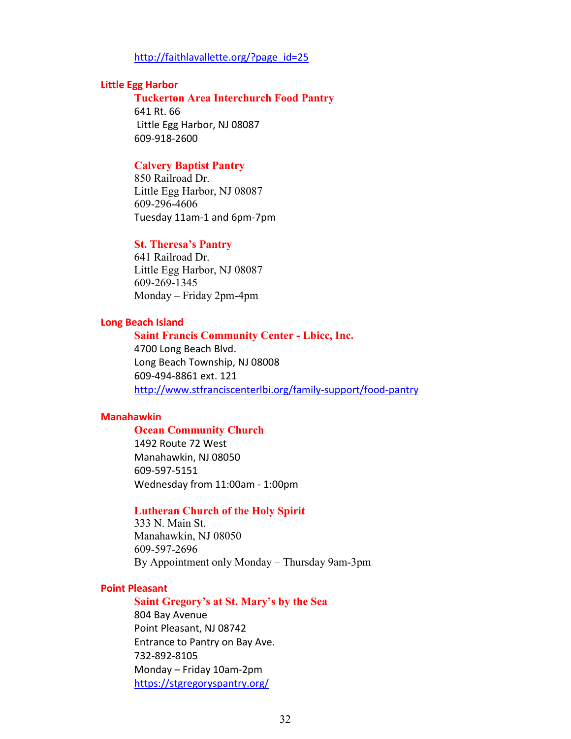#### [http://faithlavallette.org/?page\\_id=25](http://faithlavallette.org/?page_id=25)

#### **Little Egg Harbor**

**Tuckerton Area Interchurch Food Pantry** 641 Rt. 66 Little Egg Harbor, NJ 08087 609-918-2600

## **Calvery Baptist Pantry**

850 Railroad Dr. Little Egg Harbor, NJ 08087 609-296-4606 Tuesday 11am-1 and 6pm-7pm

#### **St. Theresa's Pantry**

641 Railroad Dr. Little Egg Harbor, NJ 08087 609-269-1345 Monday – Friday 2pm-4pm

#### **Long Beach Island**

# **Saint Francis Community Center - Lbicc, Inc.**  4700 Long Beach Blvd. Long Beach Township, NJ 08008 609-494-8861 ext. 121 <http://www.stfranciscenterlbi.org/family-support/food-pantry>

#### **Manahawkin**

#### **Ocean Community Church**

1492 Route 72 West Manahawkin, NJ 08050 609-597-5151 Wednesday from 11:00am - 1:00pm

### **Lutheran Church of the Holy Spirit**

333 N. Main St. Manahawkin, NJ 08050 609-597-2696 By Appointment only Monday – Thursday 9am-3pm

#### **Point Pleasant**

# **Saint Gregory's at St. Mary's by the Sea**  804 Bay Avenue Point Pleasant, NJ 08742 Entrance to Pantry on Bay Ave. 732-892-8105 Monday – Friday 10am-2pm <https://stgregoryspantry.org/>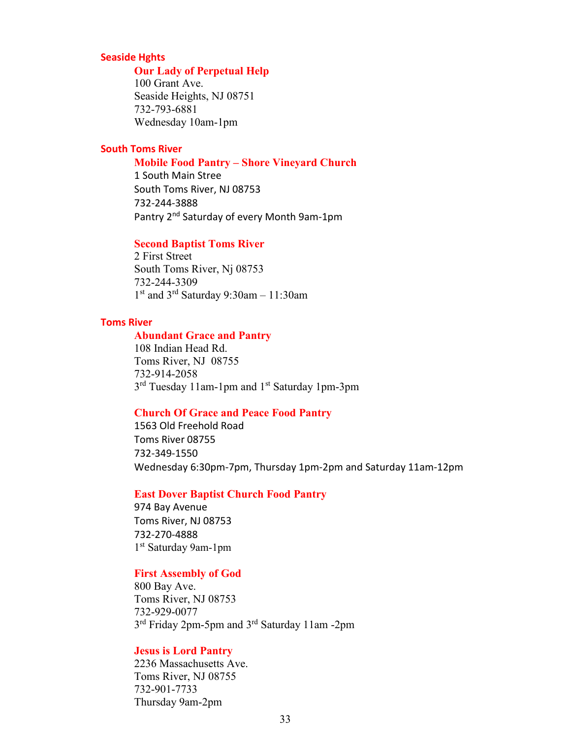#### **Seaside Hghts**

#### **Our Lady of Perpetual Help**

100 Grant Ave. Seaside Heights, NJ 08751 732-793-6881 Wednesday 10am-1pm

# **South Toms River**

#### **Mobile Food Pantry – Shore Vineyard Church**

1 South Main Stree South Toms River, NJ 08753 732-244-3888 Pantry 2<sup>nd</sup> Saturday of every Month 9am-1pm

## **Second Baptist Toms River**

2 First Street South Toms River, Nj 08753 732-244-3309 1st and 3rd Saturday 9:30am – 11:30am

#### **Toms River**

#### **Abundant Grace and Pantry**

108 Indian Head Rd. Toms River, NJ 08755 732-914-2058 3<sup>rd</sup> Tuesday 11am-1pm and 1<sup>st</sup> Saturday 1pm-3pm

# **Church Of Grace and Peace Food Pantry**

1563 Old Freehold Road Toms River 08755 732-349-1550 Wednesday 6:30pm-7pm, Thursday 1pm-2pm and Saturday 11am-12pm

#### **East Dover Baptist Church Food Pantry**

974 Bay Avenue Toms River, NJ 08753 732-270-4888 1st Saturday 9am-1pm

#### **First Assembly of God**

800 Bay Ave. Toms River, NJ 08753 732-929-0077 3rd Friday 2pm-5pm and 3rd Saturday 11am -2pm

### **Jesus is Lord Pantry**

2236 Massachusetts Ave. Toms River, NJ 08755 732-901-7733 Thursday 9am-2pm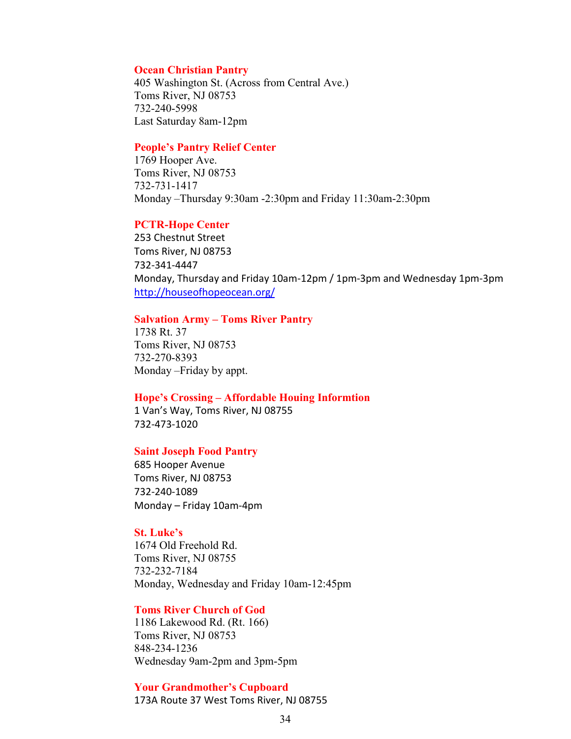#### **Ocean Christian Pantry**

405 Washington St. (Across from Central Ave.) Toms River, NJ 08753 732-240-5998 Last Saturday 8am-12pm

#### **People's Pantry Relief Center**

1769 Hooper Ave. Toms River, NJ 08753 732-731-1417 Monday –Thursday 9:30am -2:30pm and Friday 11:30am-2:30pm

#### **PCTR-Hope Center**

253 Chestnut Street Toms River, NJ 08753 732-341-4447 Monday, Thursday and Friday 10am-12pm / 1pm-3pm and Wednesday 1pm-3pm <http://houseofhopeocean.org/>

#### **Salvation Army – Toms River Pantry**

1738 Rt. 37 Toms River, NJ 08753 732-270-8393 Monday –Friday by appt.

#### **Hope's Crossing – Affordable Houing Informtion**

1 Van's Way, Toms River, NJ 08755 732-473-1020

#### **Saint Joseph Food Pantry**

685 Hooper Avenue Toms River, NJ 08753 732-240-1089 Monday – Friday 10am-4pm

#### **St. Luke's**

1674 Old Freehold Rd. Toms River, NJ 08755 732-232-7184 Monday, Wednesday and Friday 10am-12:45pm

#### **Toms River Church of God**

1186 Lakewood Rd. (Rt. 166) Toms River, NJ 08753 848-234-1236 Wednesday 9am-2pm and 3pm-5pm

**Your Grandmother's Cupboard** 173A Route 37 West Toms River, NJ 08755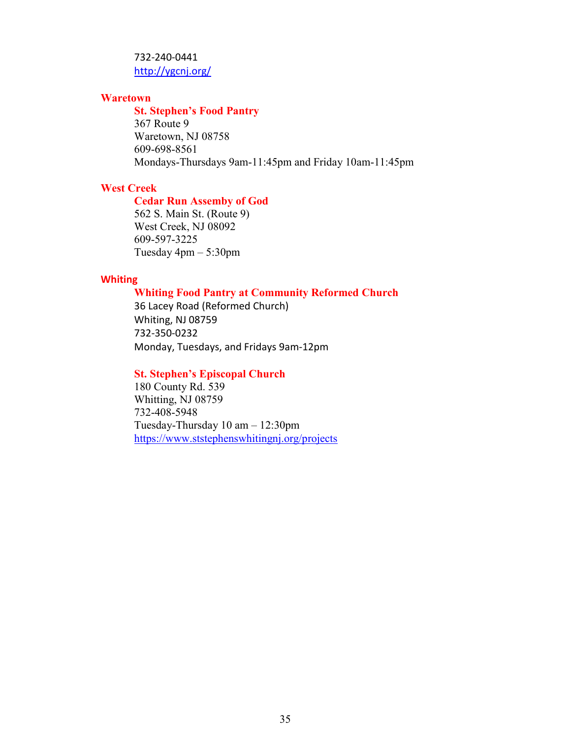# 732-240-0441 <http://ygcnj.org/>

# **Waretown**

#### **St. Stephen's Food Pantry**

367 Route 9 Waretown, NJ 08758 609-698-8561 Mondays-Thursdays 9am-11:45pm and Friday 10am-11:45pm

# **West Creek**

# **Cedar Run Assemby of God**

562 S. Main St. (Route 9) West Creek, NJ 08092 609-597-3225 Tuesday 4pm – 5:30pm

#### **Whiting**

# **Whiting Food Pantry at Community Reformed Church**

36 Lacey Road (Reformed Church) Whiting, NJ 08759 732-350-0232 Monday, Tuesdays, and Fridays 9am-12pm

### **St. Stephen's Episcopal Church**

180 County Rd. 539 Whitting, NJ 08759 732-408-5948 Tuesday-Thursday 10 am – 12:30pm <https://www.ststephenswhitingnj.org/projects>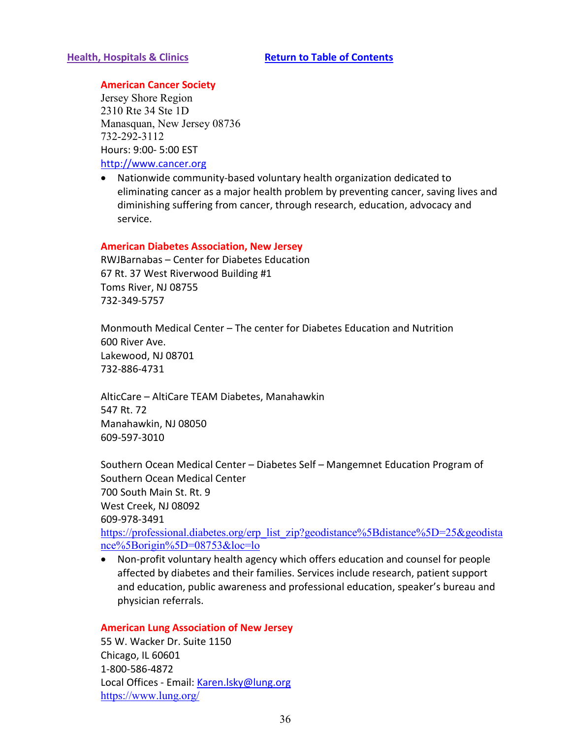# <span id="page-35-0"></span>**American Cancer Society**

Jersey Shore Region 2310 Rte 34 Ste 1D Manasquan, New Jersey 08736 732-292-3112 Hours: 9:00- 5:00 EST

[http://www.cancer.org](http://www.cancer.org/)

• Nationwide community-based voluntary health organization dedicated to eliminating cancer as a major health problem by preventing cancer, saving lives and diminishing suffering from cancer, through research, education, advocacy and service.

#### **American Diabetes Association, New Jersey**

RWJBarnabas – Center for Diabetes Education 67 Rt. 37 West Riverwood Building #1 Toms River, NJ 08755 732-349-5757

Monmouth Medical Center – The center for Diabetes Education and Nutrition 600 River Ave. Lakewood, NJ 08701 732-886-4731

AlticCare – AltiCare TEAM Diabetes, Manahawkin 547 Rt. 72 Manahawkin, NJ 08050 609-597-3010

Southern Ocean Medical Center – Diabetes Self – Mangemnet Education Program of Southern Ocean Medical Center 700 South Main St. Rt. 9 West Creek, NJ 08092 609-978-3491

[https://professional.diabetes.org/erp\\_list\\_zip?geodistance%5Bdistance%5D=25&geodista](https://professional.diabetes.org/erp_list_zip?geodistance%5Bdistance%5D=25&geodistance%5Borigin%5D=08753&loc=lo) [nce%5Borigin%5D=08753&loc=lo](https://professional.diabetes.org/erp_list_zip?geodistance%5Bdistance%5D=25&geodistance%5Borigin%5D=08753&loc=lo)

• Non-profit voluntary health agency which offers education and counsel for people affected by diabetes and their families. Services include research, patient support and education, public awareness and professional education, speaker's bureau and physician referrals.

#### **American Lung Association of New Jersey**

55 W. Wacker Dr. Suite 1150 Chicago, IL 60601 1-800-586-4872 Local Offices - Email: [Karen.lsky@lung.org](mailto:Karen.lsky@lung.org) <https://www.lung.org/>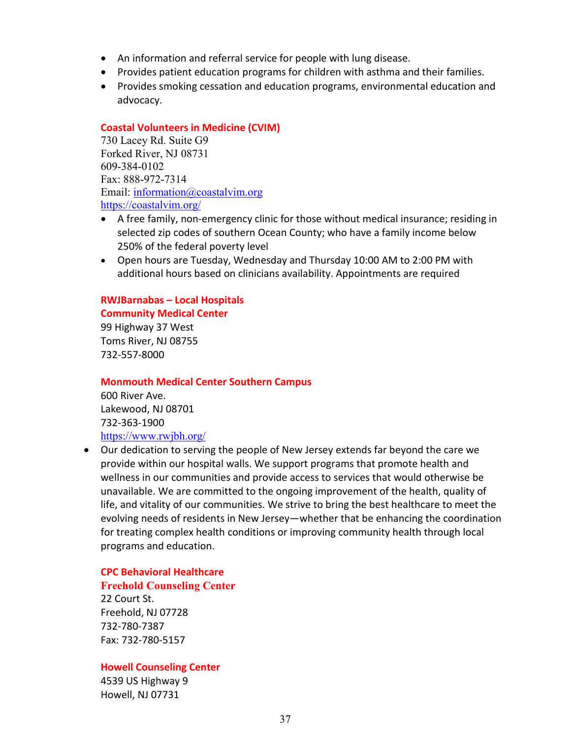- An information and referral service for people with lung disease.
- Provides patient education programs for children with asthma and their families.
- Provides smoking cessation and education programs, environmental education and advocacy.

# **Coastal Volunteers in Medicine (CVIM)**

730 Lacey Rd. Suite G9 Forked River, NJ 08731 609-384-0102 Fax: 888-972-7314 Email: [information@coastalvim.org](mailto:information@coastalvim.org) <https://coastalvim.org/>

- A free family, non-emergency clinic for those without medical insurance; residing in selected zip codes of southern Ocean County; who have a family income below 250% of the federal poverty level
- Open hours are Tuesday, Wednesday and Thursday 10:00 AM to 2:00 PM with additional hours based on clinicians availability. Appointments are required

# **RWJBarnabas – Local Hospitals Community Medical Center**

99 Highway 37 West Toms River, NJ 08755 732-557-8000

#### **Monmouth Medical Center Southern Campus**

600 River Ave. Lakewood, NJ 08701 732-363-1900 <https://www.rwjbh.org/>

• Our dedication to serving the people of New Jersey extends far beyond the care we provide within our hospital walls. We support programs that promote health and wellness in our communities and provide access to services that would otherwise be unavailable. We are committed to the ongoing improvement of the health, quality of life, and vitality of our communities. We strive to bring the best healthcare to meet the evolving needs of residents in New Jersey—whether that be enhancing the coordination for treating complex health conditions or improving community health through local programs and education.

# **CPC Behavioral Healthcare**

# **Freehold Counseling Center**

22 Court St. Freehold, NJ 07728 732-780-7387 Fax: 732-780-5157

# **Howell Counseling Center**

4539 US Highway 9 Howell, NJ 07731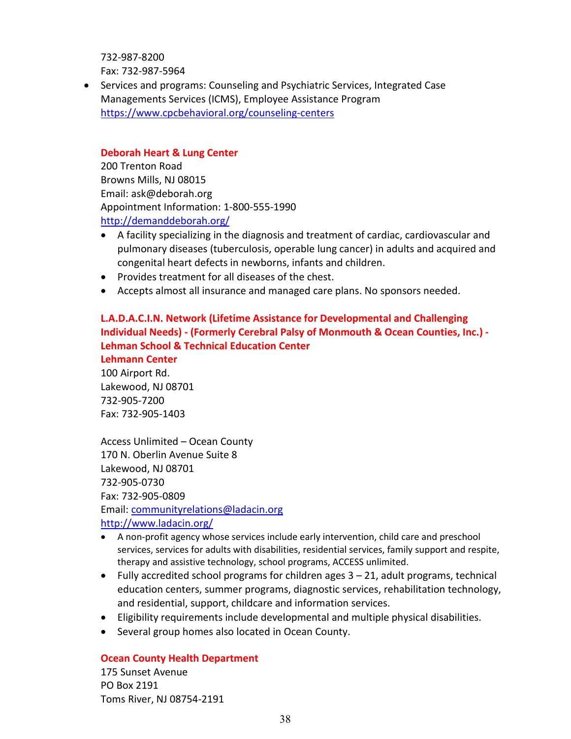732-987-8200 Fax: 732-987-5964

• Services and programs: Counseling and Psychiatric Services, Integrated Case Managements Services (ICMS), Employee Assistance Program <https://www.cpcbehavioral.org/counseling-centers>

# **Deborah Heart & Lung Center**

200 Trenton Road Browns Mills, NJ 08015 Email: ask@deborah.org Appointment Information: 1-800-555-1990 <http://demanddeborah.org/>

- A facility specializing in the diagnosis and treatment of cardiac, cardiovascular and pulmonary diseases (tuberculosis, operable lung cancer) in adults and acquired and congenital heart defects in newborns, infants and children.
- Provides treatment for all diseases of the chest.
- Accepts almost all insurance and managed care plans. No sponsors needed.

# **L.A.D.A.C.I.N. Network (Lifetime Assistance for Developmental and Challenging Individual Needs) - (Formerly Cerebral Palsy of Monmouth & Ocean Counties, Inc.) - Lehman School & Technical Education Center**

**Lehmann Center**  100 Airport Rd. Lakewood, NJ 08701 732-905-7200 Fax: 732-905-1403

Access Unlimited – Ocean County 170 N. Oberlin Avenue Suite 8 Lakewood, NJ 08701 732-905-0730 Fax: 732-905-0809 Email: [communityrelations@ladacin.org](mailto:communityrelations@ladacin.org) <http://www.ladacin.org/>

- A non-profit agency whose services include early intervention, child care and preschool services, services for adults with disabilities, residential services, family support and respite, therapy and assistive technology, school programs, ACCESS unlimited.
- Fully accredited school programs for children ages  $3 21$ , adult programs, technical education centers, summer programs, diagnostic services, rehabilitation technology, and residential, support, childcare and information services.
- Eligibility requirements include developmental and multiple physical disabilities.
- Several group homes also located in Ocean County.

# **Ocean County Health Department**

175 Sunset Avenue PO Box 2191 Toms River, NJ 08754-2191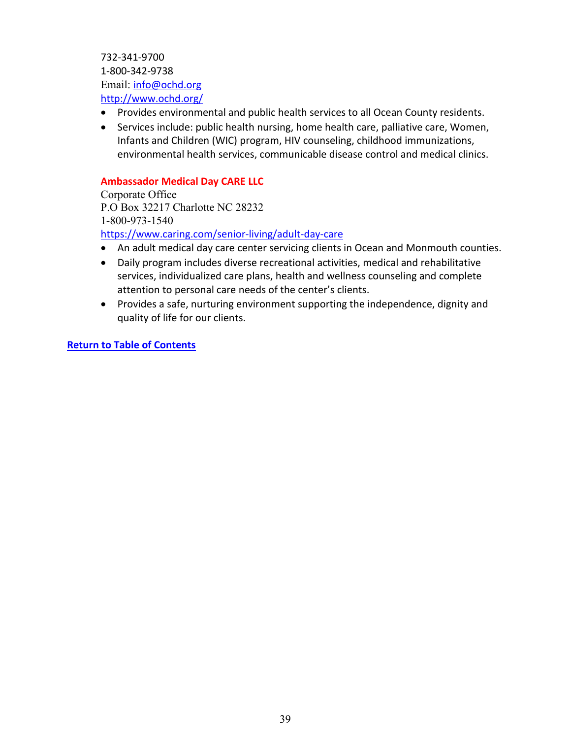732-341-9700 1-800-342-9738 Email: [info@ochd.org](mailto:info@ochd.org?subject=From%20your%20website) <http://www.ochd.org/>

- Provides environmental and public health services to all Ocean County residents.
- Services include: public health nursing, home health care, palliative care, Women, Infants and Children (WIC) program, HIV counseling, childhood immunizations, environmental health services, communicable disease control and medical clinics.

# **Ambassador Medical Day CARE LLC**

Corporate Office P.O Box 32217 Charlotte NC 28232 1-800-973-1540 <https://www.caring.com/senior-living/adult-day-care>

- An adult medical day care center servicing clients in Ocean and Monmouth counties.
- Daily program includes diverse recreational activities, medical and rehabilitative services, individualized care plans, health and wellness counseling and complete attention to personal care needs of the center's clients.
- Provides a safe, nurturing environment supporting the independence, dignity and quality of life for our clients.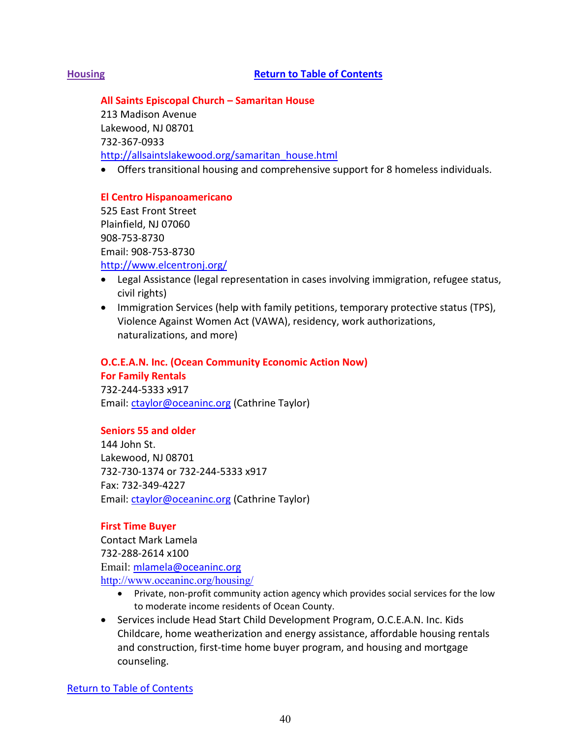# <span id="page-39-0"></span>**Housing [Return to Table of Contents](#page-1-0)**

**All Saints Episcopal Church – Samaritan House**

213 Madison Avenue Lakewood, NJ 08701 732-367-0933 [http://allsaintslakewood.org/samaritan\\_house.html](http://allsaintslakewood.org/samaritan_house.html)

• Offers transitional housing and comprehensive support for 8 homeless individuals.

## **El Centro Hispanoamericano**

525 East Front Street Plainfield, NJ 07060 908-753-8730 Email: 908-753-8730 <http://www.elcentronj.org/>

- Legal Assistance (legal representation in cases involving immigration, refugee status, civil rights)
- Immigration Services (help with family petitions, temporary protective status (TPS), Violence Against Women Act (VAWA), residency, work authorizations, naturalizations, and more)

# **O.C.E.A.N. Inc. (Ocean Community Economic Action Now)**

**For Family Rentals** 

732-244-5333 x917 Email: [ctaylor@oceaninc.org](mailto:ctaylor@oceaninc.org) (Cathrine Taylor)

# **Seniors 55 and older**

144 John St. Lakewood, NJ 08701 732-730-1374 or 732-244-5333 x917 Fax: 732-349-4227 Email: [ctaylor@oceaninc.org](mailto:ctaylor@oceaninc.org) (Cathrine Taylor)

#### **First Time Buyer**

Contact Mark Lamela 732-288-2614 x100 Email: [mlamela@oceaninc.org](mailto:mlamela@oceaninc.org) <http://www.oceaninc.org/housing/>

- Private, non-profit community action agency which provides social services for the low to moderate income residents of Ocean County.
- Services include Head Start Child Development Program, O.C.E.A.N. Inc. Kids Childcare, home weatherization and energy assistance, affordable housing rentals and construction, first-time home buyer program, and housing and mortgage counseling.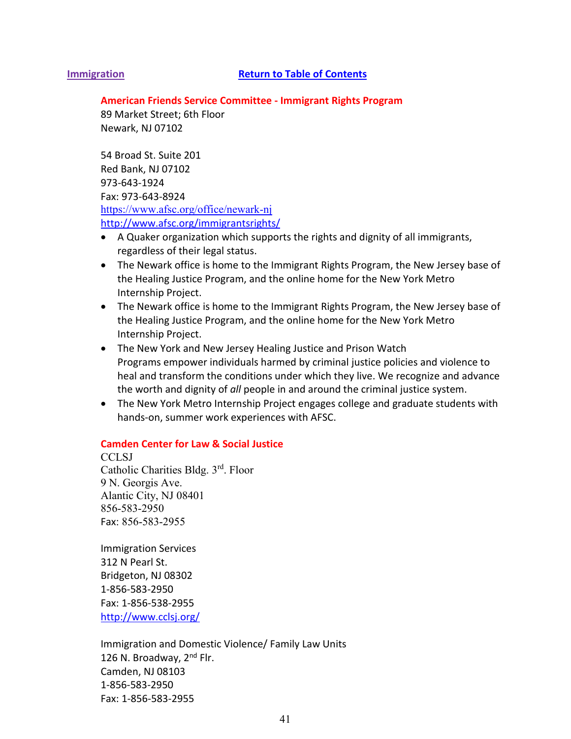#### <span id="page-40-0"></span>**Immigration [Return to Table of Contents](#page-1-0)**

#### **American Friends Service Committee - Immigrant Rights Program**

89 Market Street; 6th Floor Newark, NJ 07102

54 Broad St. Suite 201 Red Bank, NJ 07102 973-643-1924 Fax: 973-643-8924 <https://www.afsc.org/office/newark-nj> <http://www.afsc.org/immigrantsrights/>

- A Quaker organization which supports the rights and dignity of all immigrants, regardless of their legal status.
- The Newark office is home to the Immigrant Rights Program, the New Jersey base of the Healing Justice Program, and the online home for the New York Metro Internship Project.
- The Newark office is home to the Immigrant Rights Program, the New Jersey base of the Healing Justice Program, and the online home for the New York Metro Internship Project.
- [The New York and New Jersey Healing Justice and Prison Watch](http://afsc.org/program/healing-justice-program-nymro) [Programs](http://afsc.org/program/healing-justice-program-nymro) empower individuals harmed by criminal justice policies and violence to heal and transform the conditions under which they live. We recognize and advance the worth and dignity of *all* people in and around the criminal justice system.
- [The New York Metro Internship Project](http://afsc.org/resource/nymro-summer-internships) engages college and graduate students with hands-on, summer work experiences with AFSC.

# **Camden Center for Law & Social Justice**

**CCLSJ** Catholic Charities Bldg. 3rd. Floor 9 N. Georgis Ave. Alantic City, NJ 08401 856-583-2950 Fax: 856-583-2955

Immigration Services 312 N Pearl St. Bridgeton, NJ 08302 1-856-583-2950 Fax: 1-856-538-2955 http://www.cclsj.org/

Immigration and Domestic Violence/ Family Law Units 126 N. Broadway, 2<sup>nd</sup> Flr. Camden, NJ 08103 1-856-583-2950 Fax: 1-856-583-2955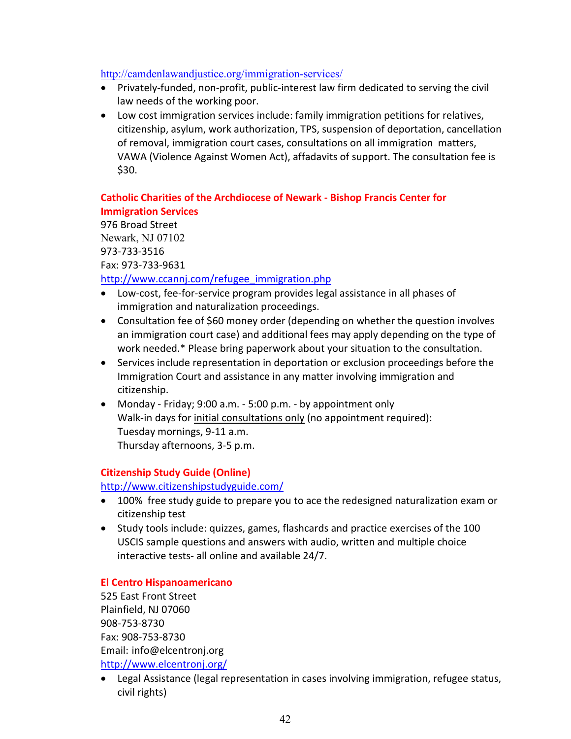# <http://camdenlawandjustice.org/immigration-services/>

- Privately-funded, non-profit, public-interest law firm dedicated to serving the civil law needs of the working poor.
- Low cost immigration services include: family immigration petitions for relatives, citizenship, asylum, work authorization, TPS, suspension of deportation, cancellation of removal, immigration court cases, consultations on all immigration matters, VAWA (Violence Against Women Act), affadavits of support. The consultation fee is \$30.

# **Catholic Charities of the Archdiocese of Newark - Bishop Francis Center for Immigration Services**

976 Broad Street Newark, NJ 07102 973-733-3516 Fax: 973-733-9631

# [http://www.ccannj.com/refugee\\_immigration.php](http://www.ccannj.com/refugee_immigration.php)

- Low-cost, fee-for-service program provides legal assistance in all phases of immigration and naturalization proceedings.
- Consultation fee of \$60 money order (depending on whether the question involves an immigration court case) and additional fees may apply depending on the type of work needed.\* Please bring paperwork about your situation to the consultation.
- Services include representation in deportation or exclusion proceedings before the Immigration Court and assistance in any matter involving immigration and citizenship.
- Monday Friday; 9:00 a.m. 5:00 p.m. by appointment only Walk-in days for initial consultations only (no appointment required): Tuesday mornings, 9-11 a.m. Thursday afternoons, 3-5 p.m.

# **Citizenship Study Guide (Online)**

<http://www.citizenshipstudyguide.com/>

- 100% free study guide to prepare you to ace the redesigned naturalization exam or citizenship test
- Study tools include: quizzes, games, flashcards and practice exercises of the 100 USCIS sample questions and answers with audio, written and multiple choice interactive tests- all online and available 24/7.

# **El Centro Hispanoamericano**

525 East Front Street Plainfield, NJ 07060 908-753-8730 Fax: 908-753-8730 Email: [info@elcentronj.org](mailto:info@elcentronj.org) <http://www.elcentronj.org/>

• Legal Assistance (legal representation in cases involving immigration, refugee status, civil rights)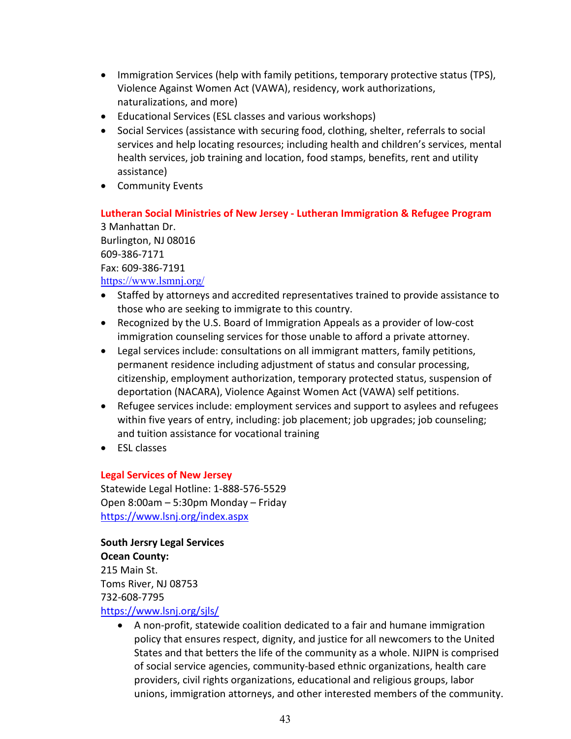- Immigration Services (help with family petitions, temporary protective status (TPS), Violence Against Women Act (VAWA), residency, work authorizations, naturalizations, and more)
- Educational Services (ESL classes and various workshops)
- Social Services (assistance with securing food, clothing, shelter, referrals to social services and help locating resources; including health and children's services, mental health services, job training and location, food stamps, benefits, rent and utility assistance)
- Community Events

# **Lutheran Social Ministries of New Jersey - Lutheran Immigration & Refugee Program**

3 Manhattan Dr. Burlington, NJ 08016 609-386-7171 Fax: 609-386-7191

# <https://www.lsmnj.org/>

- Staffed by attorneys and accredited representatives trained to provide assistance to those who are seeking to immigrate to this country.
- Recognized by the U.S. Board of Immigration Appeals as a provider of low-cost immigration counseling services for those unable to afford a private attorney.
- Legal services include: consultations on all immigrant matters, family petitions, permanent residence including adjustment of status and consular processing, citizenship, employment authorization, temporary protected status, suspension of deportation (NACARA), Violence Against Women Act (VAWA) self petitions.
- Refugee services include: employment services and support to asylees and refugees within five years of entry, including: job placement; job upgrades; job counseling; and tuition assistance for vocational training
- ESL classes

# **Legal Services of New Jersey**

Statewide Legal Hotline: 1-888-576-5529 Open 8:00am – 5:30pm Monday – Friday <https://www.lsnj.org/index.aspx>

**South Jersry Legal Services Ocean County:** 215 Main St. Toms River, NJ 08753 732-608-7795 <https://www.lsnj.org/sjls/>

> • A non-profit, statewide coalition dedicated to a fair and humane immigration policy that ensures respect, dignity, and justice for all newcomers to the United States and that betters the life of the community as a whole. NJIPN is comprised of social service agencies, community-based ethnic organizations, health care providers, civil rights organizations, educational and religious groups, labor unions, immigration attorneys, and other interested members of the community.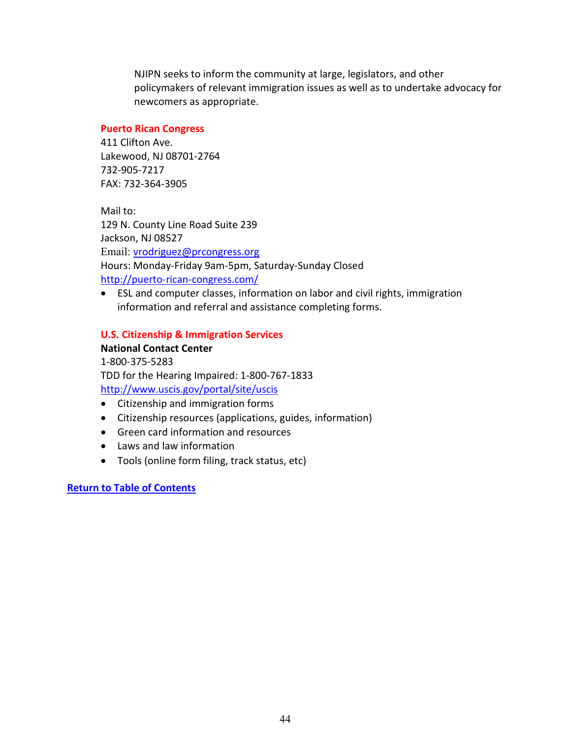NJIPN seeks to inform the community at large, legislators, and other policymakers of relevant immigration issues as well as to undertake advocacy for newcomers as appropriate.

# **Puerto Rican Congress**

411 Clifton Ave. Lakewood, NJ 08701-2764 732-905-7217 FAX: 732-364-3905

Mail to: 129 N. County Line Road Suite 239 Jackson, NJ 08527 Email: [vrodriguez@prcongress.org](mailto:vrodriguez@prcongress.org) Hours: Monday-Friday 9am-5pm, Saturday-Sunday Closed <http://puerto-rican-congress.com/>

• ESL and computer classes, information on labor and civil rights, immigration information and referral and assistance completing forms.

# **U.S. Citizenship & Immigration Services**

**National Contact Center** 1-800-375-5283 TDD for the Hearing Impaired: 1-800-767-1833 <http://www.uscis.gov/portal/site/uscis>

- Citizenship and immigration forms
- Citizenship resources (applications, guides, information)
- Green card information and resources
- Laws and law information
- Tools (online form filing, track status, etc)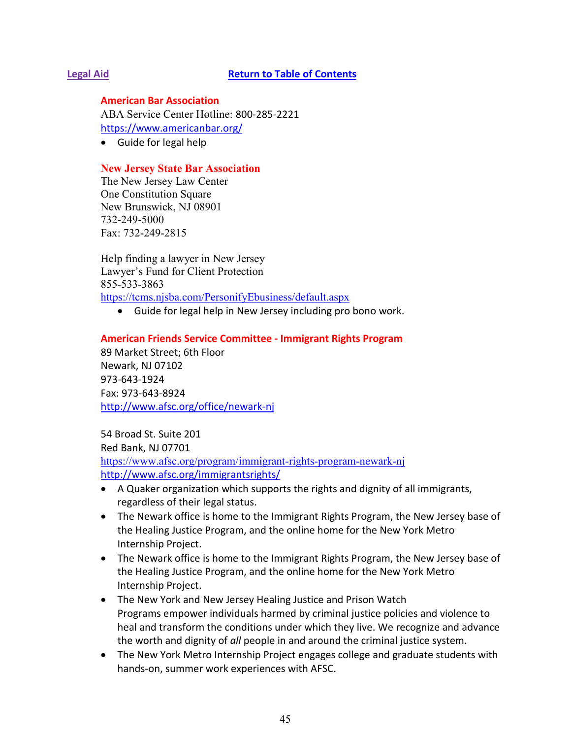# <span id="page-44-0"></span>**Legal Aid [Return to Table of Contents](#page-1-0)**

**American Bar Association**

ABA Service Center Hotline: 800-285-2221 <https://www.americanbar.org/>

• Guide for legal help

# **New Jersey State Bar Association**

The New Jersey Law Center One Constitution Square New Brunswick, NJ 08901 732-249-5000 Fax: 732-249-2815

Help finding a lawyer in New Jersey Lawyer's Fund for Client Protection 855-533-3863 <https://tcms.njsba.com/PersonifyEbusiness/default.aspx>

• Guide for legal help in New Jersey including pro bono work.

## **American Friends Service Committee - Immigrant Rights Program**

89 Market Street; 6th Floor Newark, NJ 07102 973-643-1924 Fax: 973-643-8924 <http://www.afsc.org/office/newark-nj>

54 Broad St. Suite 201 Red Bank, NJ 07701 <https://www.afsc.org/program/immigrant-rights-program-newark-nj> <http://www.afsc.org/immigrantsrights/>

- A Quaker organization which supports the rights and dignity of all immigrants, regardless of their legal status.
- The Newark office is home to the Immigrant Rights Program, the New Jersey base of the Healing Justice Program, and the online home for the New York Metro Internship Project.
- The Newark office is home to the Immigrant Rights Program, the New Jersey base of the Healing Justice Program, and the online home for the New York Metro Internship Project.
- [The New York and New Jersey Healing Justice and Prison Watch](http://afsc.org/program/healing-justice-program-nymro)  [Programs](http://afsc.org/program/healing-justice-program-nymro) empower individuals harmed by criminal justice policies and violence to heal and transform the conditions under which they live. We recognize and advance the worth and dignity of *all* people in and around the criminal justice system.
- [The New York Metro Internship Project](http://afsc.org/resource/nymro-summer-internships) engages college and graduate students with hands-on, summer work experiences with AFSC.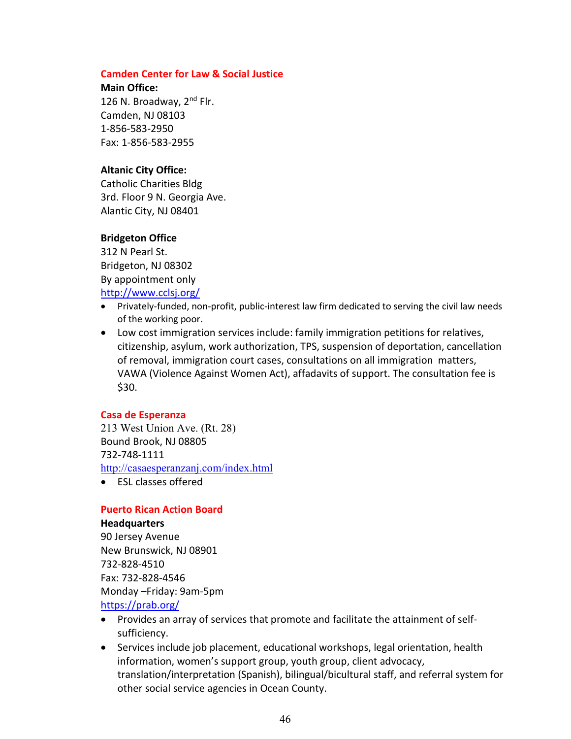#### **Camden Center for Law & Social Justice**

**Main Office:**

126 N. Broadway, 2<sup>nd</sup> Flr. Camden, NJ 08103 1-856-583-2950 Fax: 1-856-583-2955

# **Altanic City Office:**

Catholic Charities Bldg 3rd. Floor 9 N. Georgia Ave. Alantic City, NJ 08401

# **Bridgeton Office**

312 N Pearl St. Bridgeton, NJ 08302 By appointment only http://www.cclsj.org/

- Privately-funded, non-profit, public-interest law firm dedicated to serving the civil law needs of the working poor.
- Low cost immigration services include: family immigration petitions for relatives, citizenship, asylum, work authorization, TPS, suspension of deportation, cancellation of removal, immigration court cases, consultations on all immigration matters, VAWA (Violence Against Women Act), affadavits of support. The consultation fee is \$30.

# **Casa de Esperanza**

213 West Union Ave. (Rt. 28) Bound Brook, NJ 08805 732-748-1111 <http://casaesperanzanj.com/index.html>

• ESL classes offered

# **Puerto Rican Action Board**

### **Headquarters**

90 Jersey Avenue New Brunswick, NJ 08901 732-828-4510 Fax: 732-828-4546 Monday –Friday: 9am-5pm <https://prab.org/>

- Provides an array of services that promote and facilitate the attainment of selfsufficiency.
- Services include job placement, educational workshops, legal orientation, health information, women's support group, youth group, client advocacy, translation/interpretation (Spanish), bilingual/bicultural staff, and referral system for other social service agencies in Ocean County.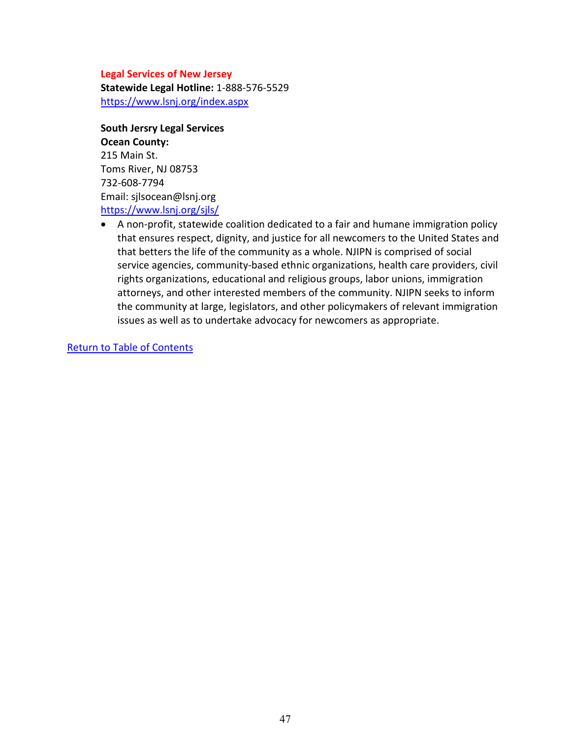#### **Legal Services of New Jersey**

**Statewide Legal Hotline:** 1-888-576-5529 <https://www.lsnj.org/index.aspx>

**South Jersry Legal Services Ocean County:** 215 Main St. Toms River, NJ 08753 732-608-7794 Email: sjlsocean@lsnj.org

<https://www.lsnj.org/sjls/>

• A non-profit, statewide coalition dedicated to a fair and humane immigration policy that ensures respect, dignity, and justice for all newcomers to the United States and that betters the life of the community as a whole. NJIPN is comprised of social service agencies, community-based ethnic organizations, health care providers, civil rights organizations, educational and religious groups, labor unions, immigration attorneys, and other interested members of the community. NJIPN seeks to inform the community at large, legislators, and other policymakers of relevant immigration issues as well as to undertake advocacy for newcomers as appropriate.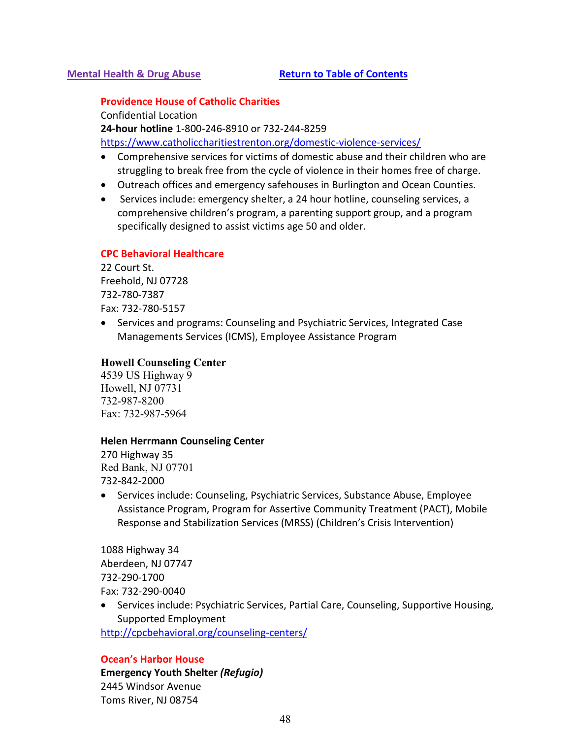# <span id="page-47-0"></span>**Mental Health & Drug Abuse [Return to Table of Contents](#page-1-0)**

#### **Providence House of Catholic Charities**

Confidential Location **24-hour hotline** 1-800-246-8910 or 732-244-8259

<https://www.catholiccharitiestrenton.org/domestic-violence-services/>

- Comprehensive services for victims of domestic abuse and their children who are struggling to break free from the cycle of violence in their homes free of charge.
- Outreach offices and emergency safehouses in Burlington and Ocean Counties.
- Services include: emergency shelter, a 24 hour hotline, counseling services, a comprehensive children's program, a parenting support group, and a program specifically designed to assist victims age 50 and older.

# **CPC Behavioral Healthcare**

22 Court St. Freehold, NJ 07728 732-780-7387 Fax: 732-780-5157

• Services and programs: Counseling and Psychiatric Services, Integrated Case Managements Services (ICMS), Employee Assistance Program

## **Howell Counseling Center**

4539 US Highway 9 Howell, NJ 07731 732-987-8200 Fax: 732-987-5964

#### **Helen Herrmann Counseling Center**

270 Highway 35 Red Bank, NJ 07701 732-842-2000

• Services include: Counseling, Psychiatric Services, Substance Abuse, Employee Assistance Program, Program for Assertive Community Treatment (PACT), Mobile Response and Stabilization Services (MRSS) (Children's Crisis Intervention)

1088 Highway 34 Aberdeen, NJ 07747 732-290-1700 Fax: 732-290-0040

• Services include: Psychiatric Services, Partial Care, Counseling, Supportive Housing, Supported Employment

http://cpcbehavioral.org/counseling-centers/

#### **Ocean's Harbor House**

**Emergency Youth Shelter** *(Refugio)* 2445 Windsor Avenue Toms River, NJ 08754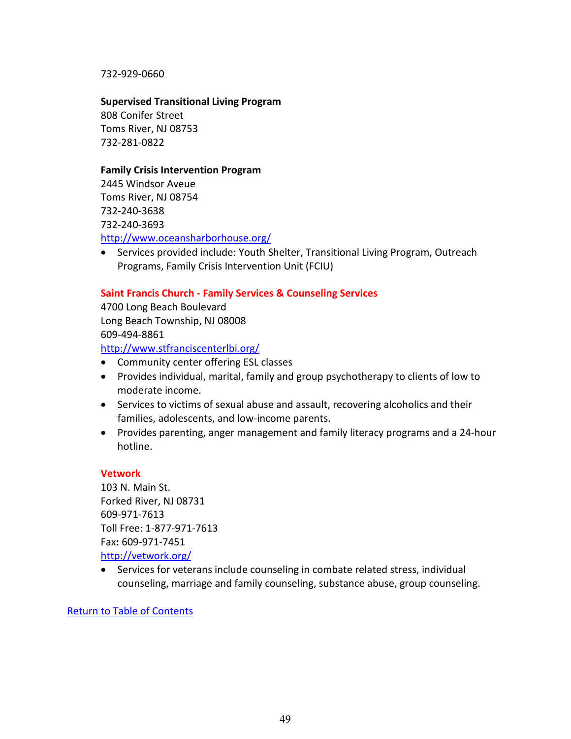732-929-0660

**Supervised Transitional Living Program** 

808 Conifer Street Toms River, NJ 08753 732-281-0822

# **Family Crisis Intervention Program**

2445 Windsor Aveue Toms River, NJ 08754 732-240-3638 732-240-3693

<http://www.oceansharborhouse.org/>

• Services provided include: Youth Shelter, Transitional Living Program, Outreach Programs, Family Crisis Intervention Unit (FCIU)

# **Saint Francis Church - Family Services & Counseling Services**

4700 Long Beach Boulevard Long Beach Township, NJ 08008 609-494-8861

<http://www.stfranciscenterlbi.org/>

- Community center offering ESL classes
- Provides individual, marital, family and group psychotherapy to clients of low to moderate income.
- Services to victims of sexual abuse and assault, recovering alcoholics and their families, adolescents, and low-income parents.
- Provides parenting, anger management and family literacy programs and a 24-hour hotline.

# **Vetwork**

103 N. Main St. Forked River, NJ 08731 609-971-7613 Toll Free: 1-877-971-7613 Fax**:** 609-971-7451 <http://vetwork.org/>

• Services for veterans include counseling in combate related stress, individual counseling, marriage and family counseling, substance abuse, group counseling.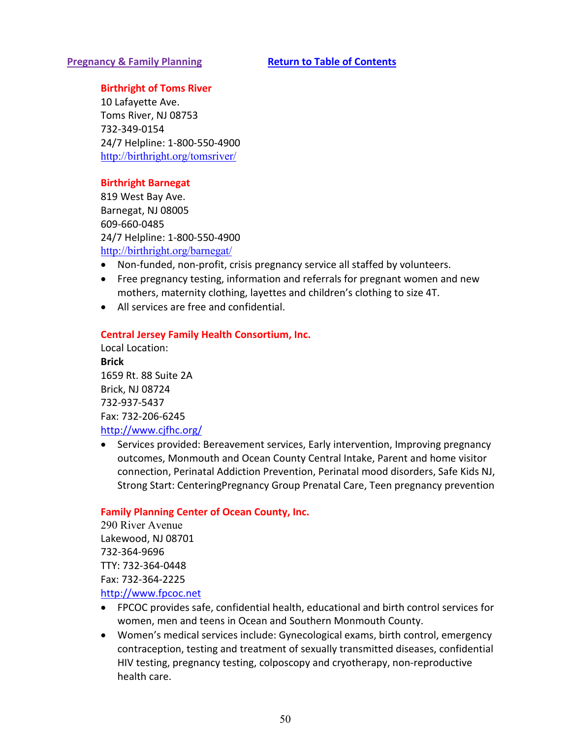## <span id="page-49-0"></span>**Pregnancy & Family Planning <b>[Return to Table of Contents](#page-1-0)**

# **Birthright of Toms River**

10 Lafayette Ave. Toms River, NJ 08753 732-349-0154 24/7 Helpline: 1-800-550-4900 <http://birthright.org/tomsriver/>

# **Birthright Barnegat**

819 West Bay Ave. Barnegat, NJ 08005 609-660-0485 24/7 Helpline: 1-800-550-4900 <http://birthright.org/barnegat/>

- Non-funded, non-profit, crisis pregnancy service all staffed by volunteers.
- Free pregnancy testing, information and referrals for pregnant women and new mothers, maternity clothing, layettes and children's clothing to size 4T.
- All services are free and confidential.

## **Central Jersey Family Health Consortium, Inc.**

Local Location: **Brick**  1659 Rt. 88 Suite 2A Brick, NJ 08724 732-937-5437 Fax: 732-206-6245 <http://www.cjfhc.org/>

• Services provided: Bereavement services, Early intervention, Improving pregnancy outcomes, Monmouth and Ocean County Central Intake, Parent and home visitor connection, Perinatal Addiction Prevention, Perinatal mood disorders, Safe Kids NJ, Strong Start: CenteringPregnancy Group Prenatal Care, Teen pregnancy prevention

#### **Family Planning Center of Ocean County, Inc.**

290 River Avenue Lakewood, NJ 08701 732-364-9696 TTY: 732-364-0448 Fax: 732-364-2225 [http://www.fpcoc.net](http://www.fpcoc.net/)

- FPCOC provides safe, confidential health, educational and birth control services for women, men and teens in Ocean and Southern Monmouth County.
- Women's medical services include: Gynecological exams, birth control, emergency contraception, testing and treatment of sexually transmitted diseases, confidential HIV testing, pregnancy testing, colposcopy and cryotherapy, non-reproductive health care.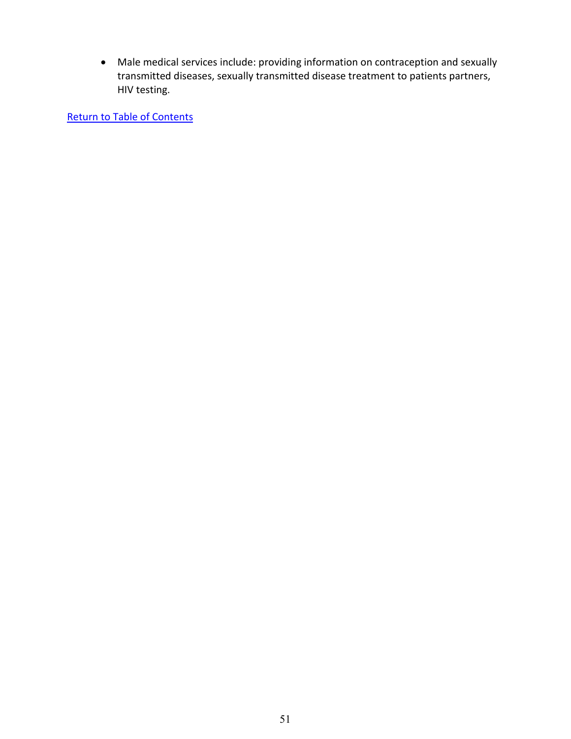• Male medical services include: providing information on contraception and sexually transmitted diseases, sexually transmitted disease treatment to patients partners, HIV testing.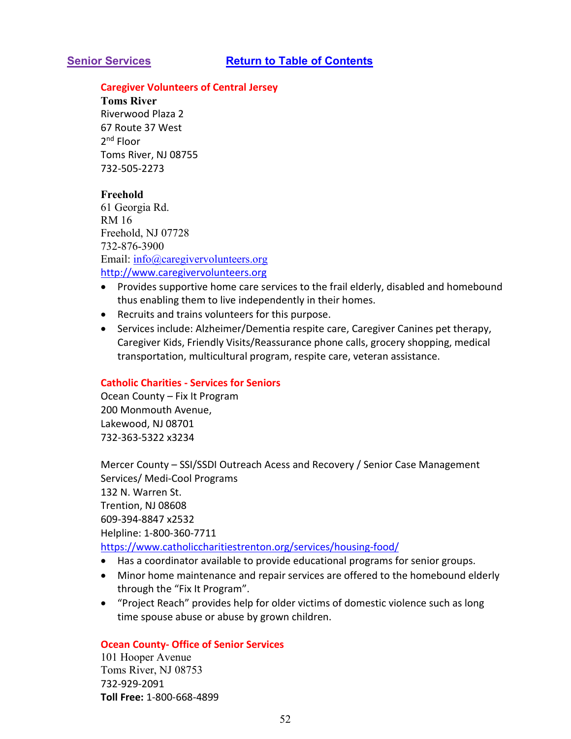#### <span id="page-51-0"></span>**Caregiver Volunteers of Central Jersey**

**Toms River**  Riverwood Plaza 2 67 Route 37 West 2nd Floor Toms River, NJ 08755 732-505-2273

## **Freehold**

61 Georgia Rd. RM 16 Freehold, NJ 07728 732-876-3900 Email: [info@caregivervolunteers.org](mailto:info@caregivervolunteers.org) [http://www.caregivervolunteers.org](http://www.caregivervolunteers.org/)

- Provides supportive home care services to the frail elderly, disabled and homebound thus enabling them to live independently in their homes.
- Recruits and trains volunteers for this purpose.
- Services include: Alzheimer/Dementia respite care, Caregiver Canines pet therapy, Caregiver Kids, Friendly Visits/Reassurance phone calls, grocery shopping, medical transportation, multicultural program, respite care, veteran assistance.

#### **Catholic Charities - Services for Seniors**

Ocean County – Fix It Program 200 Monmouth Avenue, Lakewood, NJ 08701 732-363-5322 x3234

Mercer County – SSI/SSDI Outreach Acess and Recovery / Senior Case Management Services/ Medi-Cool Programs 132 N. Warren St. Trention, NJ 08608 609-394-8847 x2532 Helpline: 1-800-360-7711 <https://www.catholiccharitiestrenton.org/services/housing-food/>

- Has a coordinator available to provide educational programs for senior groups.
- Minor home maintenance and repair services are offered to the homebound elderly through the "Fix It Program".
- "Project Reach" provides help for older victims of domestic violence such as long time spouse abuse or abuse by grown children.

#### **Ocean County- Office of Senior Services**

101 Hooper Avenue Toms River, NJ 08753 732-929-2091 **Toll Free:** 1-800-668-4899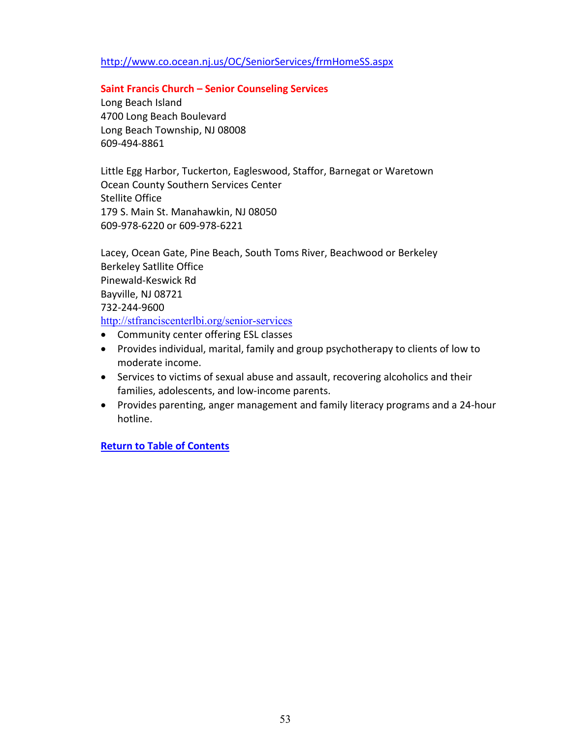# <http://www.co.ocean.nj.us/OC/SeniorServices/frmHomeSS.aspx>

### **Saint Francis Church – Senior Counseling Services**

Long Beach Island 4700 Long Beach Boulevard Long Beach Township, NJ 08008 609-494-8861

Little Egg Harbor, Tuckerton, Eagleswood, Staffor, Barnegat or Waretown Ocean County Southern Services Center Stellite Office 179 S. Main St. Manahawkin, NJ 08050 609-978-6220 or 609-978-6221

Lacey, Ocean Gate, Pine Beach, South Toms River, Beachwood or Berkeley Berkeley Satllite Office Pinewald-Keswick Rd Bayville, NJ 08721 732-244-9600 <http://stfranciscenterlbi.org/senior-services>

- Community center offering ESL classes
- Provides individual, marital, family and group psychotherapy to clients of low to moderate income.
- Services to victims of sexual abuse and assault, recovering alcoholics and their families, adolescents, and low-income parents.
- Provides parenting, anger management and family literacy programs and a 24-hour hotline.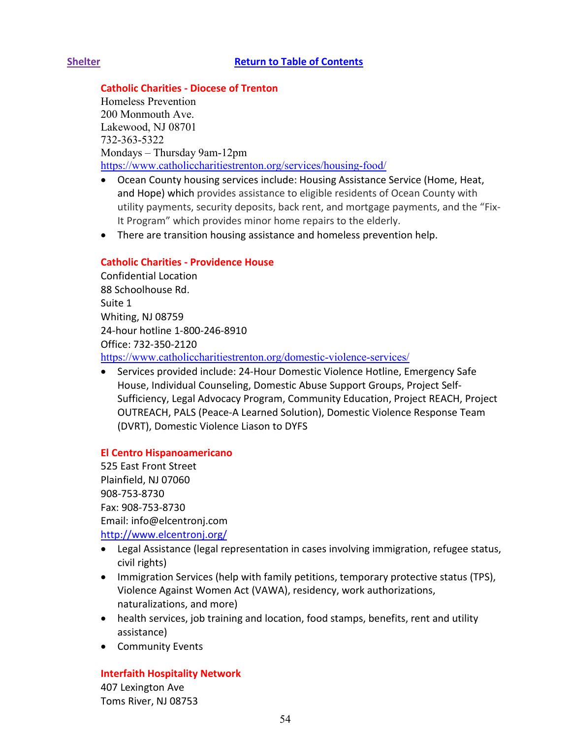# <span id="page-53-0"></span>**Shelter [Return to Table of Contents](#page-1-0)**

# **Catholic Charities - Diocese of Trenton**

Homeless Prevention 200 Monmouth Ave. Lakewood, NJ 08701 732-363-5322 Mondays – Thursday 9am-12pm <https://www.catholiccharitiestrenton.org/services/housing-food/>

- Ocean County housing services include: Housing Assistance Service (Home, Heat, and Hope) which provides assistance to eligible residents of Ocean County with utility payments, security deposits, back rent, and mortgage payments, and the "Fix-It Program" which provides minor home repairs to the elderly.
- There are transition housing assistance and homeless prevention help.

# **Catholic Charities - Providence House**

Confidential Location 88 Schoolhouse Rd. Suite 1 Whiting, NJ 08759 24-hour hotline 1-800-246-8910 Office: 732-350-2120 <https://www.catholiccharitiestrenton.org/domestic-violence-services/>

• Services provided include: 24-Hour Domestic Violence Hotline, Emergency Safe House, Individual Counseling, Domestic Abuse Support Groups, Project Self-Sufficiency, Legal Advocacy Program, Community Education, Project REACH, Project OUTREACH, PALS (Peace-A Learned Solution), Domestic Violence Response Team (DVRT), Domestic Violence Liason to DYFS

# **El Centro Hispanoamericano**

525 East Front Street Plainfield, NJ 07060 908-753-8730 Fax: 908-753-8730 Email: info@elcentronj.com <http://www.elcentronj.org/>

- Legal Assistance (legal representation in cases involving immigration, refugee status, civil rights)
- Immigration Services (help with family petitions, temporary protective status (TPS), Violence Against Women Act (VAWA), residency, work authorizations, naturalizations, and more)
- health services, job training and location, food stamps, benefits, rent and utility assistance)
- Community Events

# **Interfaith Hospitality Network**

407 Lexington Ave Toms River, NJ 08753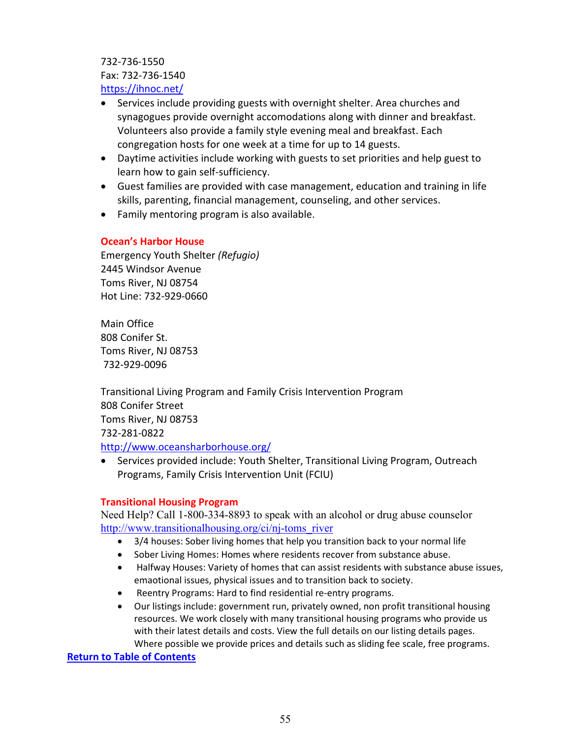732-736-1550 Fax: 732-736-1540 <https://ihnoc.net/>

- Services include providing guests with overnight shelter. Area churches and synagogues provide overnight accomodations along with dinner and breakfast. Volunteers also provide a family style evening meal and breakfast. Each congregation hosts for one week at a time for up to 14 guests.
- Daytime activities include working with guests to set priorities and help guest to learn how to gain self-sufficiency.
- Guest families are provided with case management, education and training in life skills, parenting, financial management, counseling, and other services.
- Family mentoring program is also available.

# **Ocean's Harbor House**

Emergency Youth Shelter *(Refugio)* 2445 Windsor Avenue Toms River, NJ 08754 Hot Line: 732-929-0660

Main Office 808 Conifer St. Toms River, NJ 08753 732-929-0096

Transitional Living Program and Family Crisis Intervention Program 808 Conifer Street Toms River, NJ 08753 732-281-0822 <http://www.oceansharborhouse.org/>

• Services provided include: Youth Shelter, Transitional Living Program, Outreach Programs, Family Crisis Intervention Unit (FCIU)

# **Transitional Housing Program**

Need Help? Call 1-800-334-8893 to speak with an alcohol or drug abuse counselor [http://www.transitionalhousing.org/ci/nj-toms\\_river](http://www.transitionalhousing.org/ci/nj-toms_river)

- 3/4 houses: Sober living homes that help you transition back to your normal life
- Sober Living Homes: Homes where residents recover from substance abuse.
- Halfway Houses: Variety of homes that can assist residents with substance abuse issues, emaotional issues, physical issues and to transition back to society.
- Reentry Programs: Hard to find residential re-entry programs.
- Our listings include: government run, privately owned, non profit transitional housing resources. We work closely with many transitional housing programs who provide us with their latest details and costs. View the full details on our listing details pages. Where possible we provide prices and details such as sliding fee scale, free programs.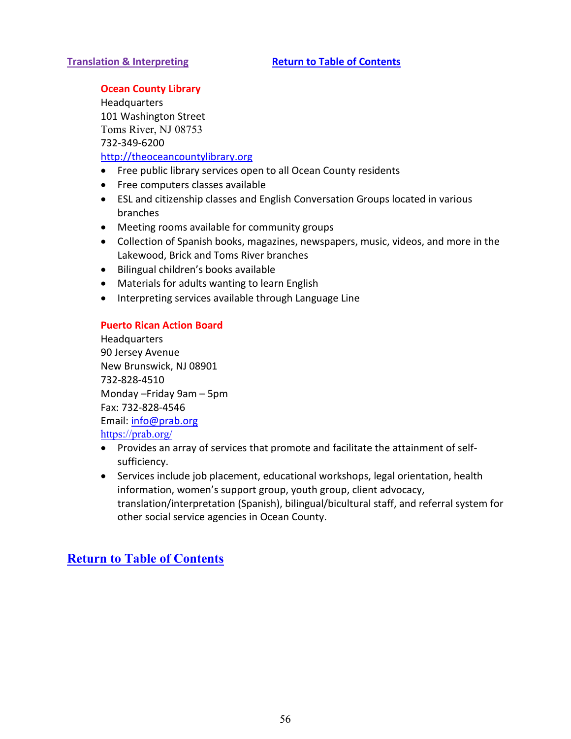# <span id="page-55-0"></span>**Translation & Interpreting <b>[Return to Table](#page-1-0) of Contents**

# **Ocean County Library**

**Headquarters** 101 Washington Street Toms River, NJ 08753 732-349-6200 [http://theoceancountylibrary.org](http://theoceancountylibrary.org/)

- Free public library services open to all Ocean County residents
- Free computers classes available
- ESL and citizenship classes and English Conversation Groups located in various branches
- Meeting rooms available for community groups
- Collection of Spanish books, magazines, newspapers, music, videos, and more in the Lakewood, Brick and Toms River branches
- Bilingual children's books available
- Materials for adults wanting to learn English
- Interpreting services available through Language Line

# **Puerto Rican Action Board**

Headquarters 90 Jersey Avenue New Brunswick, NJ 08901 732-828-4510 Monday –Friday 9am – 5pm Fax: 732-828-4546 Email: [info@prab.org](mailto:info@prab.org) <https://prab.org/>

- Provides an array of services that promote and facilitate the attainment of selfsufficiency.
- Services include job placement, educational workshops, legal orientation, health information, women's support group, youth group, client advocacy, translation/interpretation (Spanish), bilingual/bicultural staff, and referral system for other social service agencies in Ocean County.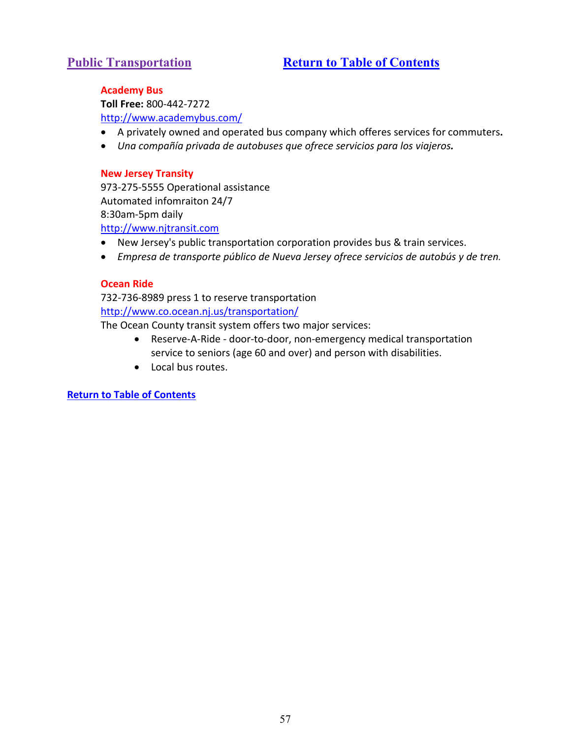# <span id="page-56-0"></span>**Public Transportation** *[Return to Table of Contents](#page-1-0)*

# **Academy Bus**

**Toll Free:** 800-442-7272 <http://www.academybus.com/>

- A privately owned and operated bus company which offeres services for commuters**.**
- *Una compañía privada de autobuses que ofrece servicios para los viajeros.*

#### **New Jersey Transity**

973-275-5555 Operational assistance Automated infomraiton 24/7 8:30am-5pm daily [http://www.njtransit.com](http://www.njtransit.com/)

- New Jersey's public transportation corporation provides bus & train services.
- *Empresa de transporte público de Nueva Jersey ofrece servicios de autobús y de tren.*

#### **Ocean Ride**

732-736-8989 press 1 to reserve transportation <http://www.co.ocean.nj.us/transportation/>

The Ocean County transit system offers two major services:

- Reserve-A-Ride door-to-door, non-emergency medical transportation service to seniors (age 60 and over) and person with disabilities.
- Local bus routes.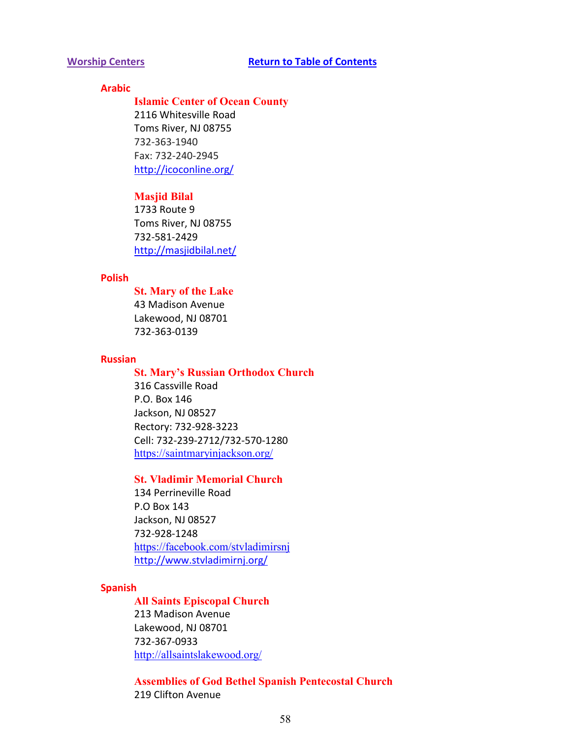# <span id="page-57-0"></span>**Arabic**

#### **Islamic Center of Ocean County**

2116 Whitesville Road Toms River, NJ 08755 732-363-1940 Fax: 732-240-2945 <http://icoconline.org/>

#### **Masjid Bilal**

1733 Route 9 Toms River, NJ 08755 732-581-2429 <http://masjidbilal.net/>

# **Polish**

**St. Mary of the Lake** 43 Madison Avenue Lakewood, NJ 08701 732-363-0139

#### **Russian**

#### **St. Mary's Russian Orthodox Church**

316 Cassville Road P.O. Box 146 Jackson, NJ 08527 Rectory: 732-928-3223 Cell: 732-239-2712/732-570-1280 <https://saintmaryinjackson.org/>

# **St. Vladimir Memorial Church**

134 Perrineville Road P.O Box 143 Jackson, NJ 08527 732-928-1248 <https://facebook.com/stvladimirsnj> <http://www.stvladimirnj.org/>

#### **Spanish**

#### **All Saints Episcopal Church**

213 Madison Avenue Lakewood, NJ 08701 732-367-0933 <http://allsaintslakewood.org/>

**Assemblies of God Bethel Spanish Pentecostal Church** 219 Clifton Avenue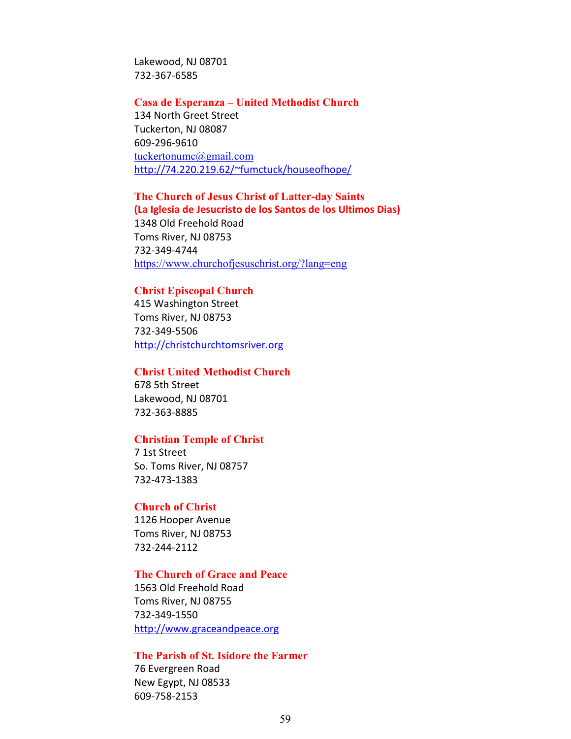Lakewood, NJ 08701 732-367-6585

#### **Casa de Esperanza – United Methodist Church**

134 North Greet Street Tuckerton, NJ 08087 609-296-9610 [tuckertonumc@gmail.com](mailto:tuckertonumc@gmail.com) [http://74.220.219.62/~fumctuck/houseofhope/](http://74.220.219.62/%7Efumctuck/houseofhope/)

# **The Church of Jesus Christ of Latter-day Saints**

**(La Iglesia de Jesucristo de los Santos de los Ultimos Dias)** 1348 Old Freehold Road Toms River, NJ 08753 732-349-4744 <https://www.churchofjesuschrist.org/?lang=eng>

#### **Christ Episcopal Church**

415 Washington Street Toms River, NJ 08753 732-349-5506 [http://christchurchtomsriver.org](http://christchurchtomsriver.org/)

#### **Christ United Methodist Church**

678 5th Street Lakewood, NJ 08701 732-363-8885

#### **Christian Temple of Christ**

7 1st Street So. Toms River, NJ 08757 732-473-1383

#### **Church of Christ**

1126 Hooper Avenue Toms River, NJ 08753 732-244-2112

# **The Church of Grace and Peace**

1563 Old Freehold Road Toms River, NJ 08755 732-349-1550 [http://www.graceandpeace.org](http://www.graceandpeace.org/)

# **The Parish of St. Isidore the Farmer**

76 Evergreen Road New Egypt, NJ 08533 609-758-2153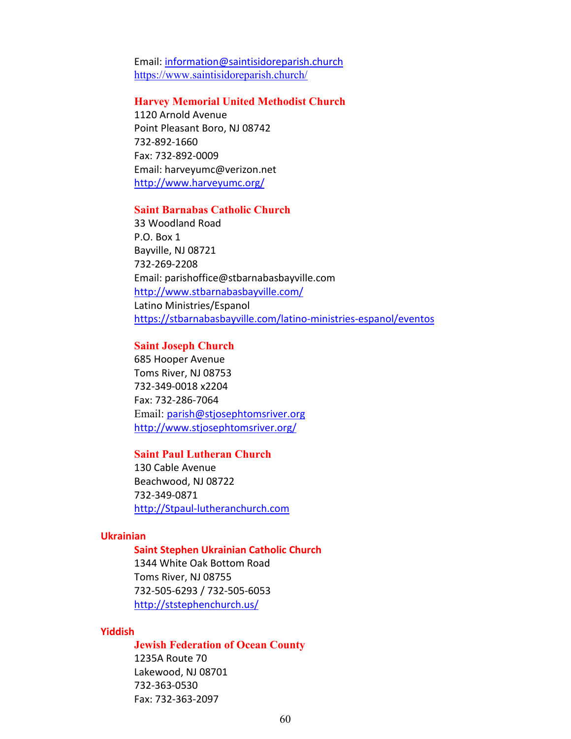Email: [information@saintisidoreparish.church](mailto:information@saintisidoreparish.church) <https://www.saintisidoreparish.church/>

#### **Harvey Memorial United Methodist Church**

1120 Arnold Avenue Point Pleasant Boro, NJ 08742 732-892-1660 Fax: 732-892-0009 Email: harveyumc@verizon.net <http://www.harveyumc.org/>

#### **Saint Barnabas Catholic Church**

33 Woodland Road P.O. Box 1 Bayville, NJ 08721 732-269-2208 Email: parishoffice@stbarnabasbayville.com <http://www.stbarnabasbayville.com/> Latino Ministries/Espanol <https://stbarnabasbayville.com/latino-ministries-espanol/eventos>

#### **Saint Joseph Church**

685 Hooper Avenue Toms River, NJ 08753 732-349-0018 x2204 Fax: 732-286-7064 Email: [parish@stjosephtomsriver.org](mailto:parish@stjosephtomsriver.org) <http://www.stjosephtomsriver.org/>

# **Saint Paul Lutheran Church**

130 Cable Avenue Beachwood, NJ 08722 732-349-0871 [http://Stpaul-lutheranchurch.com](http://stpaul-lutheranchurch.com/)

### **Ukrainian**

#### **Saint Stephen Ukrainian Catholic Church**

1344 White Oak Bottom Road Toms River, NJ 08755 732-505-6293 / 732-505-6053 <http://ststephenchurch.us/>

#### **Yiddish**

#### **Jewish Federation of Ocean County**

1235A Route 70 Lakewood, NJ 08701 732-363-0530 Fax: 732-363-2097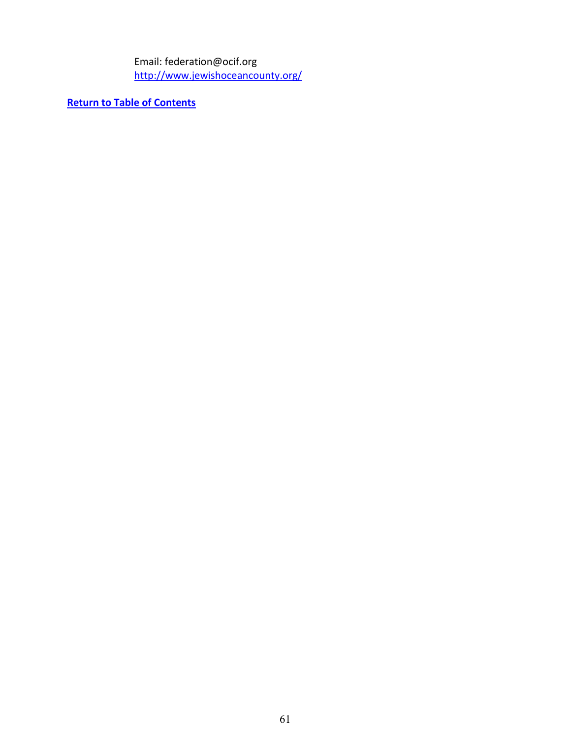Email: federation@ocif.org <http://www.jewishoceancounty.org/>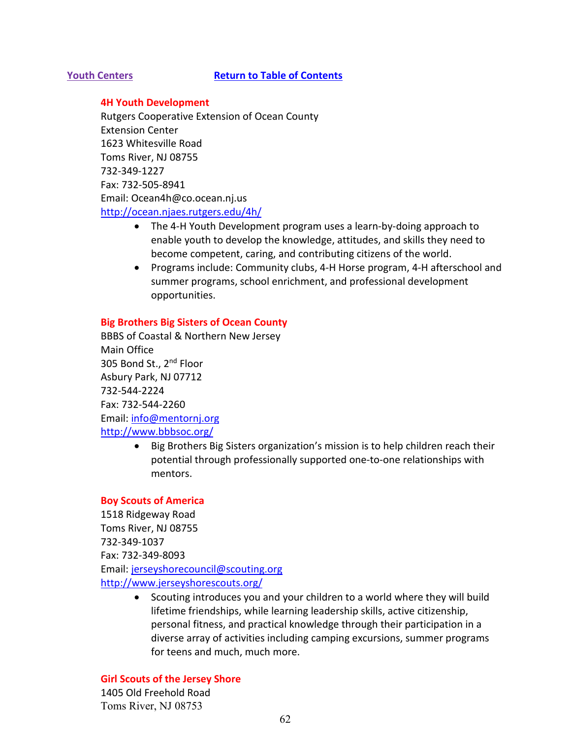#### <span id="page-61-0"></span>**Youth Centers [Return to Table of Contents](#page-1-0)**

#### **4H Youth Development**

Rutgers Cooperative Extension of Ocean County Extension Center 1623 Whitesville Road Toms River, NJ 08755 732-349-1227 Fax: 732-505-8941 Email: Ocean4h@co.ocean.nj.us <http://ocean.njaes.rutgers.edu/4h/>

- The 4-H Youth Development program uses a learn-by-doing approach to enable youth to develop the knowledge, attitudes, and skills they need to become competent, caring, and contributing citizens of the world.
- Programs include: Community clubs, 4-H Horse program, 4-H afterschool and summer programs, school enrichment, and professional development opportunities.

#### **Big Brothers Big Sisters of Ocean County**

BBBS of Coastal & Northern New Jersey Main Office 305 Bond St., 2<sup>nd</sup> Floor Asbury Park, NJ 07712 732-544-2224 Fax: 732-544-2260 Email: [info@mentornj.org](mailto:info@mentornj.org) <http://www.bbbsoc.org/>

> • Big Brothers Big Sisters organization's mission is to help children reach their potential through professionally supported one-to-one relationships with mentors.

#### **Boy Scouts of America**

1518 Ridgeway Road Toms River, NJ 08755 732-349-1037 Fax: 732-349-8093 Email: [jerseyshorecouncil@scouting.org](mailto:jerseyshorecouncil@scouting.org) <http://www.jerseyshorescouts.org/>

> • Scouting introduces you and your children to a world where they will build lifetime friendships, while learning leadership skills, active citizenship, personal fitness, and practical knowledge through their participation in a diverse array of activities including camping excursions, summer programs for teens and much, much more.

# **Girl Scouts of the Jersey Shore**

1405 Old Freehold Road Toms River, NJ 08753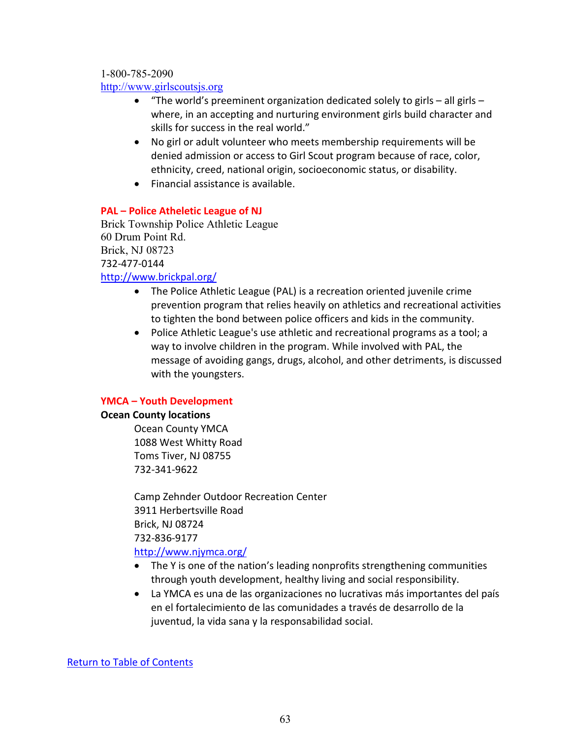1-800-785-2090

[http://www.girlscoutsjs.org](http://www.girlscoutsjs.org/)

- "The world's preeminent organization dedicated solely to girls all girls where, in an accepting and nurturing environment girls build character and skills for success in the real world."
- No girl or adult volunteer who meets membership requirements will be denied admission or access to Girl Scout program because of race, color, ethnicity, creed, national origin, socioeconomic status, or disability.
- Financial assistance is available.

# **PAL – Police Atheletic League of NJ**

Brick Township Police Athletic League 60 Drum Point Rd. Brick, NJ 08723 732-477-0144 <http://www.brickpal.org/>

- The Police Athletic League (PAL) is a recreation oriented juvenile crime prevention program that relies heavily on athletics and recreational activities to tighten the bond between police officers and kids in the community.
- Police Athletic League's use athletic and recreational programs as a tool; a way to involve children in the program. While involved with PAL, the message of avoiding gangs, drugs, alcohol, and other detriments, is discussed with the youngsters.

# **YMCA – Youth Development**

# **Ocean County locations**

Ocean County YMCA 1088 West Whitty Road Toms Tiver, NJ 08755 732-341-9622

Camp Zehnder Outdoor Recreation Center 3911 Herbertsville Road Brick, NJ 08724 732-836-9177 <http://www.njymca.org/>

- The Y is one of the nation's leading nonprofits strengthening communities through youth development, healthy living and social responsibility.
- La YMCA es una de las organizaciones no lucrativas más importantes del país en el fortalecimiento de las comunidades a través de desarrollo de la juventud, la vida sana y la responsabilidad social.